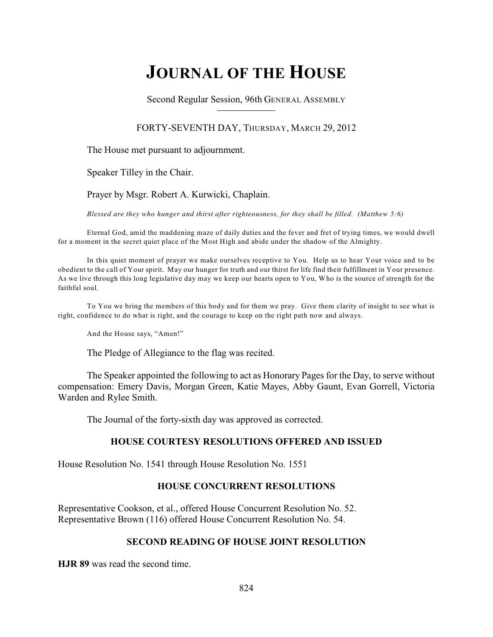# **JOURNAL OF THE HOUSE**

Second Regular Session, 96th GENERAL ASSEMBLY

### FORTY-SEVENTH DAY, THURSDAY, MARCH 29, 2012

The House met pursuant to adjournment.

Speaker Tilley in the Chair.

Prayer by Msgr. Robert A. Kurwicki, Chaplain.

*Blessed are they who hunger and thirst after righteousness, for they shall be filled. (Matthew 5:6)*

Eternal God, amid the maddening maze of daily duties and the fever and fret of trying times, we would dwell for a moment in the secret quiet place of the Most High and abide under the shadow of the Almighty.

In this quiet moment of prayer we make ourselves receptive to You. Help us to hear Your voice and to be obedient to the call of Your spirit. May our hunger for truth and our thirst for life find their fulfillment in Your presence. As we live through this long legislative day may we keep our hearts open to You, Who is the source of strength for the faithful soul.

To You we bring the members of this body and for them we pray. Give them clarity of insight to see what is right, confidence to do what is right, and the courage to keep on the right path now and always.

And the House says, "Amen!"

The Pledge of Allegiance to the flag was recited.

The Speaker appointed the following to act as Honorary Pages for the Day, to serve without compensation: Emery Davis, Morgan Green, Katie Mayes, Abby Gaunt, Evan Gorrell, Victoria Warden and Rylee Smith.

The Journal of the forty-sixth day was approved as corrected.

### **HOUSE COURTESY RESOLUTIONS OFFERED AND ISSUED**

House Resolution No. 1541 through House Resolution No. 1551

### **HOUSE CONCURRENT RESOLUTIONS**

Representative Cookson, et al., offered House Concurrent Resolution No. 52. Representative Brown (116) offered House Concurrent Resolution No. 54.

### **SECOND READING OF HOUSE JOINT RESOLUTION**

**HJR 89** was read the second time.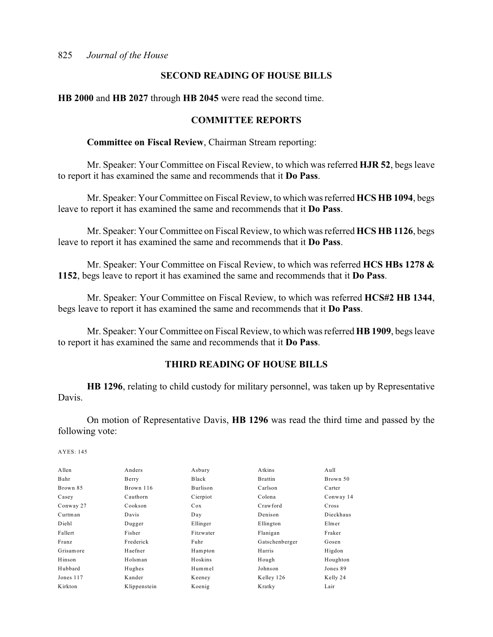### **SECOND READING OF HOUSE BILLS**

**HB 2000** and **HB 2027** through **HB 2045** were read the second time.

### **COMMITTEE REPORTS**

**Committee on Fiscal Review**, Chairman Stream reporting:

Mr. Speaker: Your Committee on Fiscal Review, to which was referred **HJR 52**, begs leave to report it has examined the same and recommends that it **Do Pass**.

Mr. Speaker: Your Committee on Fiscal Review, to which was referred **HCS HB 1094**, begs leave to report it has examined the same and recommends that it **Do Pass**.

Mr. Speaker: Your Committee on Fiscal Review, to which was referred **HCS HB 1126**, begs leave to report it has examined the same and recommends that it **Do Pass**.

Mr. Speaker: Your Committee on Fiscal Review, to which was referred **HCS HBs 1278 & 1152**, begs leave to report it has examined the same and recommends that it **Do Pass**.

Mr. Speaker: Your Committee on Fiscal Review, to which was referred **HCS#2 HB 1344**, begs leave to report it has examined the same and recommends that it **Do Pass**.

Mr. Speaker: Your Committee on Fiscal Review, to which was referred **HB 1909**, begs leave to report it has examined the same and recommends that it **Do Pass**.

### **THIRD READING OF HOUSE BILLS**

**HB 1296**, relating to child custody for military personnel, was taken up by Representative Davis.

On motion of Representative Davis, **HB 1296** was read the third time and passed by the following vote:

| Allen     | Anders       | Asbury    | Atkins         | Aull      |
|-----------|--------------|-----------|----------------|-----------|
| Bahr      | Berry        | Black     | Brattin        | Brown 50  |
| Brown 85  | Brown 116    | Burlison  | Carlson        | Carter    |
| Casey     | Cauthorn     | Cierpiot  | Colona         | Conway 14 |
| Conway 27 | Cookson      | Cox       | Crawford       | Cross     |
| Curtman   | Davis        | Day       | Denison        | Dieckhaus |
| Diehl     | Dugger       | Ellinger  | Ellington      | Elmer     |
| Fallert   | Fisher       | Fitzwater | Flanigan       | Fraker    |
| Franz     | Frederick    | Fuhr      | Gatschenberger | Gosen     |
| Grisamore | Haefner      | Hampton   | Harris         | Higdon    |
| Hinson    | Holsman      | Hoskins   | Hough          | Houghton  |
| Hubbard   | Hughes       | Hummel    | Johnson        | Jones 89  |
| Jones 117 | Kander       | Keeney    | Kelley 126     | Kelly 24  |
| Kirkton   | Klippenstein | Koenig    | Kratky         | Lair      |
|           |              |           |                |           |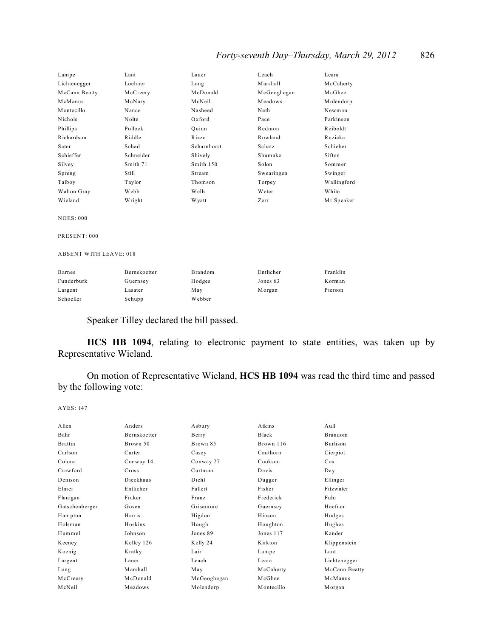# *Forty-seventh Day–Thursday, March 29, 2012* 826

| Lampe                         | Lant         | Lauer             | Leach       | Leara       |
|-------------------------------|--------------|-------------------|-------------|-------------|
| Lichtenegger                  | Loehner      | Long              | Marshall    | McCaherty   |
| McCann Beatty                 | McCreery     | McDonald          | McGeoghegan | McGhee      |
| McManus                       | McNary       | McNeil            | Meadows     | Molendorp   |
| Montecillo                    | Nance        | Nasheed           | Neth        | Newman      |
| Nichols                       | Nolte        | Oxford            | Pace        | Parkinson   |
| Phillips                      | Pollock      | Quinn             | Redmon      | Reiboldt    |
| Richardson                    | Riddle       | R <sub>izzo</sub> | Rowland     | Ruzicka     |
| Sater                         | Schad        | Scharnhorst       | Schatz      | Schieber    |
| Schieffer                     | Schneider    | Shively           | Shumake     | Sifton      |
| Silvey                        | Smith 71     | Smith 150         | Solon       | Sommer      |
| Spreng                        | Still        | Stream            | Swearingen  | Swinger     |
| Talboy                        | Taylor       | Thomson           | Torpey      | Wallingford |
| Walton Gray                   | Webb         | Wells             | Weter       | White       |
| Wieland                       | Wright       | W yatt            | Zerr        | Mr Speaker  |
| <b>NOES: 000</b>              |              |                   |             |             |
| PRESENT: 000                  |              |                   |             |             |
| <b>ABSENT WITH LEAVE: 018</b> |              |                   |             |             |
| <b>Barnes</b>                 | Bernskoetter | <b>Brandom</b>    | Entlicher   | Franklin    |
| Funderburk                    | Guernsey     | Hodges            | Jones 63    | Korman      |
| Largent                       | Lasater      | May               | Morgan      | Pierson     |

Speaker Tilley declared the bill passed.

Schoeller Schupp Webber

**HCS HB 1094**, relating to electronic payment to state entities, was taken up by Representative Wieland.

On motion of Representative Wieland, **HCS HB 1094** was read the third time and passed by the following vote:

| Allen          | Anders              | Asbury      | Atkins     | Aull            |
|----------------|---------------------|-------------|------------|-----------------|
| Bahr           | <b>Bernskoetter</b> | Berry       | Black      | Brandom         |
| <b>Brattin</b> | Brown 50            | Brown 85    | Brown 116  | <b>Burlison</b> |
| Carlson        | Carter              | Casey       | Cauthorn   | Cierpiot        |
| Colona         | Conway 14           | Conway 27   | Cookson    | Cox             |
| Crawford       | Cross               | Curtman     | Davis      | Day             |
| Denison        | Dieckhaus           | Diehl       | Dugger     | Ellinger        |
| Elmer          | Entlicher           | Fallert     | Fisher     | Fitzwater       |
| Flanigan       | Fraker              | Franz       | Frederick  | Fuhr            |
| Gatschenberger | Gosen               | Grisamore   | Guernsey   | Haefner         |
| Hampton        | Harris              | Higdon      | Hinson     | Hodges          |
| Holsman        | Hoskins             | Hough       | Houghton   | Hughes          |
| Hummel         | Johnson             | Jones 89    | Jones 117  | Kander          |
| Keeney         | Kelley 126          | Kelly 24    | K irkton   | Klippenstein    |
| Koenig         | Kratky              | Lair        | Lampe      | Lant            |
| Largent        | Lauer               | Leach       | Leara      | Lichtenegger    |
| Long           | Marshall            | May         | McCaherty  | McCann Beatty   |
| McCreery       | McDonald            | McGeoghegan | McGhee     | McManus         |
| McNeil         | Meadows             | Molendorp   | Montecillo | Morgan          |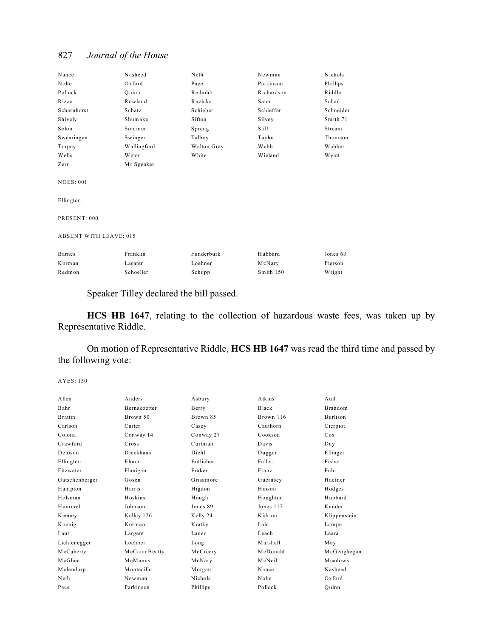| Nance                         | Nasheed     | Neth        | Newman     | Nichols   |
|-------------------------------|-------------|-------------|------------|-----------|
| Nolte                         | Oxford      | Pace        | Parkinson  | Phillips  |
| Pollock                       | Ouinn       | Reiboldt    | Richardson | Riddle    |
| Rizzo                         | Rowland     | Ruzicka     | Sater      | Schad     |
| Scharnhorst                   | Schatz      | Schieber    | Schieffer  | Schneider |
| Shively                       | Shumake     | Sifton      | Silvey     | Smith 71  |
| Solon                         | Sommer      | Spreng      | Still      | Stream    |
| Swearingen                    | Swinger     | Talboy      | Taylor     | Thomson   |
| Torpey                        | Wallingford | Walton Gray | Webb       | Webber    |
| Wells                         | Weter       | White       | Wieland    | W yatt    |
| Zerr                          | Mr Speaker  |             |            |           |
| <b>NOES: 001</b>              |             |             |            |           |
| Ellington                     |             |             |            |           |
|                               |             |             |            |           |
| PRESENT: 000                  |             |             |            |           |
|                               |             |             |            |           |
| <b>ABSENT WITH LEAVE: 015</b> |             |             |            |           |
|                               |             |             |            |           |
| <b>Barnes</b>                 | Franklin    | Funderburk  | Hubbard    | Jones 63  |
| Korman                        | Lasater     | Loehner     | McNary     | Pierson   |
| Redmon                        | Schoeller   | Schupp      | Smith 150  | Wright    |

Speaker Tilley declared the bill passed.

**HCS HB 1647**, relating to the collection of hazardous waste fees, was taken up by Representative Riddle.

On motion of Representative Riddle, **HCS HB 1647** was read the third time and passed by the following vote:

| A llen         | Anders              | Asbury         | Atkins       | Aull           |
|----------------|---------------------|----------------|--------------|----------------|
| Bahr           | <b>Bernskoetter</b> | Berry          | <b>Black</b> | <b>Brandom</b> |
| <b>Brattin</b> | Brown 50            | Brown 85       | Brown 116    | Burlison       |
| Carlson        | Carter              | Casey          | Cauthorn     | Cierpiot       |
| Colona         | Conway 14           | Conway 27      | Cookson      | Cox            |
| Crawford       | Cross               | Curtman        | Davis        | Day            |
| Denison        | Dieckhaus           | Diehl          | Dugger       | Ellinger       |
| Ellington      | Elmer               | Entlicher      | Fallert      | Fisher         |
| Fitzwater      | Flanigan            | Fraker         | Franz        | Fuhr           |
| Gatschenberger | Gosen               | Grisamore      | Guernsey     | Haefner        |
| Hampton        | Harris              | Higdon         | Hinson       | Hodges         |
| Holsman        | Hoskins             | Hough          | Houghton     | Hubbard        |
| Hummel         | Johnson             | Jones 89       | Jones 117    | Kander         |
| Keeney         | Kelley 126          | Kelly 24       | Kirkton      | Klippenstein   |
| Koenig         | Korman              | Kratky         | Lair         | Lampe          |
| Lant           | Largent             | Lauer          | Leach        | Leara          |
| Lichtenegger   | Loehner             | Long           | Marshall     | May            |
| McCaherty      | McCann Beatty       | McCreery       | McDonald     | McGeoghegan    |
| McGhee         | McManus             | McNary         | McNeil       | Meadows        |
| Molendorp      | Montecillo          | Morgan         | Nance        | Nasheed        |
| Neth           | Newman              | <b>Nichols</b> | Nolte        | Oxford         |
| Pace           | Parkinson           | Phillips       | Pollock      | Ouinn          |
|                |                     |                |              |                |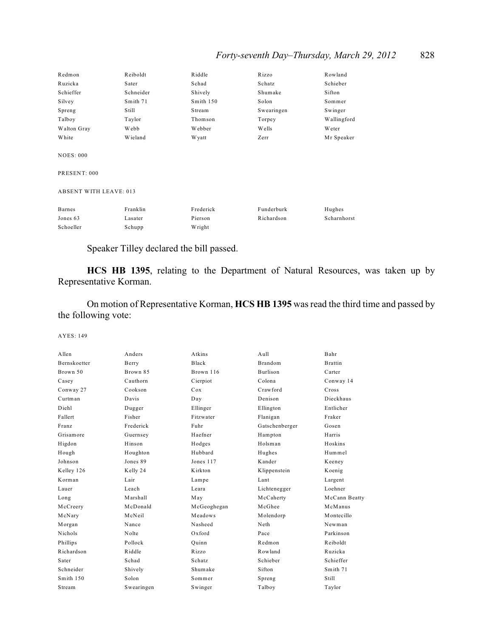# *Forty-seventh Day–Thursday, March 29, 2012* 828

| Redmon                           | Reiboldt  | Riddle    | Rizzo      | Rowland       |  |
|----------------------------------|-----------|-----------|------------|---------------|--|
| Ruzicka                          | Sater     | Schad     | Schatz     | Schieber      |  |
| Schieffer                        | Schneider | Shively   | Shumake    | Sifton        |  |
| Silvey                           | Smith 71  | Smith 150 | Solon      | Sommer        |  |
| Spreng                           | Still     | Stream    | Swearingen | Swinger       |  |
| Talboy                           | Taylor    | Thomson   | Torpey     | Wallingford   |  |
| Walton Gray                      | Webb      | Webber    | Wells      | <b>W</b> eter |  |
| White                            | Wieland   | W yatt    | Zerr       | Mr Speaker    |  |
| <b>NOES: 000</b><br>PRESENT: 000 |           |           |            |               |  |
| <b>ABSENT WITH LEAVE: 013</b>    |           |           |            |               |  |
| Barnes                           | Franklin  | Frederick | Funderburk | Hughes        |  |
| Jones 63                         | Lasater   | Pierson   | Richardson | Scharnhorst   |  |
| Schoeller                        | Schupp    | Wright    |            |               |  |
|                                  |           |           |            |               |  |

Speaker Tilley declared the bill passed.

**HCS HB 1395**, relating to the Department of Natural Resources, was taken up by Representative Korman.

On motion of Representative Korman, **HCS HB 1395** was read the third time and passed by the following vote:

| Allen               | Anders     | Atkins      | Aull            | Bahr           |
|---------------------|------------|-------------|-----------------|----------------|
| <b>Bernskoetter</b> | Berry      | Black       | <b>Brandom</b>  | <b>Brattin</b> |
| Brown 50            | Brown 85   | Brown 116   | <b>Burlison</b> | Carter         |
| Casey               | Cauthorn   | Cierpiot    | Colona          | Conway 14      |
| Conway 27           | Cookson    | Cox         | Crawford        | Cross          |
| Curtman             | Davis      | Day         | Denison         | Dieckhaus      |
| Diehl               | Dugger     | Ellinger    | Ellington       | Entlicher      |
| Fallert             | Fisher     | Fitzwater   | Flanigan        | Fraker         |
| Franz               | Frederick  | Fuhr        | Gatschenberger  | Gosen          |
| Grisamore           | Guernsey   | Haefner     | Hampton         | Harris         |
| Higdon              | Hinson     | Hodges      | Holsman         | Hoskins        |
| Hough               | Houghton   | Hubbard     | Hughes          | Hummel         |
| Johnson             | Jones 89   | Jones 117   | Kander          | Keeney         |
| Kelley 126          | Kelly 24   | Kirkton     | Klippenstein    | Koenig         |
| Korman              | Lair       | Lampe       | Lant            | Largent        |
| Lauer               | Leach      | Leara       | Lichtenegger    | Loehner        |
| Long                | Marshall   | May         | McCaherty       | McCann Beatty  |
| McCreery            | McDonald   | McGeoghegan | McGhee          | McManus        |
| McNary              | McNeil     | Meadows     | Molendorp       | Montecillo     |
| Morgan              | Nance      | Nasheed     | Neth            | Newman         |
| Nichols             | Nolte      | $Ox$ ford   | Pace            | Parkinson      |
| Phillips            | Pollock    | Ouinn       | Redmon          | Reiboldt       |
| Richardson          | Riddle     | Rizzo       | Rowland         | Ruzicka        |
| Sater               | Schad      | Schatz      | Schieber        | Schieffer      |
| Schneider           | Shively    | Shumake     | Sifton          | Smith 71       |
| Smith 150           | Solon      | Sommer      | Spreng          | Still          |
| Stream              | Swearingen | Swinger     | Talboy          | Taylor         |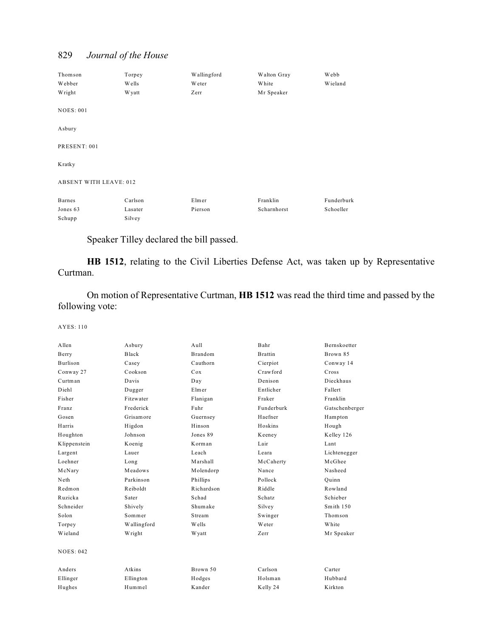Thomson Torpey Wallingford Walton Gray Webb Webber Wells Weter White Wieland Wright Wyatt Zerr Mr Speaker NOES: 001 Asbury PRESENT: 001 Kratky ABSENT WITH LEAVE: 012 Barnes Carlson Elmer Franklin Funderburk Jones 63 Lasater Pierson Scharnhorst Schoeller Schupp Silvey

Speaker Tilley declared the bill passed.

**HB 1512**, relating to the Civil Liberties Defense Act, was taken up by Representative Curtman.

On motion of Representative Curtman, **HB 1512** was read the third time and passed by the following vote:

| Allen            | Asbury      | Aull           | Bahr           | Bernskoetter   |
|------------------|-------------|----------------|----------------|----------------|
| Berry            | Black       | <b>Brandom</b> | <b>Brattin</b> | Brown 85       |
| <b>Burlison</b>  | Casey       | Cauthorn       | Cierpiot       | Conway 14      |
| Conway 27        | Cookson     | Cox            | Crawford       | Cross          |
| Curtman          | Davis       | Day            | Denison        | Dieckhaus      |
| Diehl            | Dugger      | Elmer          | Entlicher      | Fallert        |
| Fisher           | Fitzwater   | Flanigan       | Fraker         | Franklin       |
| Franz            | Frederick   | Fuhr           | Funderburk     | Gatschenberger |
| Gosen            | Grisamore   | Guernsey       | Haefner        | Hampton        |
| Harris           | Higdon      | Hinson         | Hoskins        | Hough          |
| Houghton         | Johnson     | Jones 89       | Keeney         | Kelley 126     |
| Klippenstein     | Koenig      | Korman         | Lair           | Lant           |
| Largent          | Lauer       | Leach          | Leara          | Lichtenegger   |
| Loehner          | Long        | Marshall       | McCaherty      | McGhee         |
| McNary           | Meadows     | Molendorp      | Nance          | Nasheed        |
| Neth             | Parkinson   | Phillips       | Pollock        | Ouinn          |
| Redmon           | Reiboldt    | Richardson     | Riddle         | Rowland        |
| Ruzicka          | Sater       | Schad          | Schatz         | Schieber       |
| Schneider        | Shively     | Shumake        | Silvey         | Smith 150      |
| Solon            | Sommer      | Stream         | Swinger        | Thomson        |
| Torpey           | Wallingford | <b>Wells</b>   | Weter          | White          |
| Wieland          | Wright      | W yatt         | Zerr           | Mr Speaker     |
| <b>NOES: 042</b> |             |                |                |                |
| Anders           | Atkins      | Brown 50       | Carlson        | Carter         |
| Ellinger         | Ellington   | Hodges         | Holsman        | Hubbard        |
| Hughes           | Hummel      | Kander         | Kelly 24       | Kirkton        |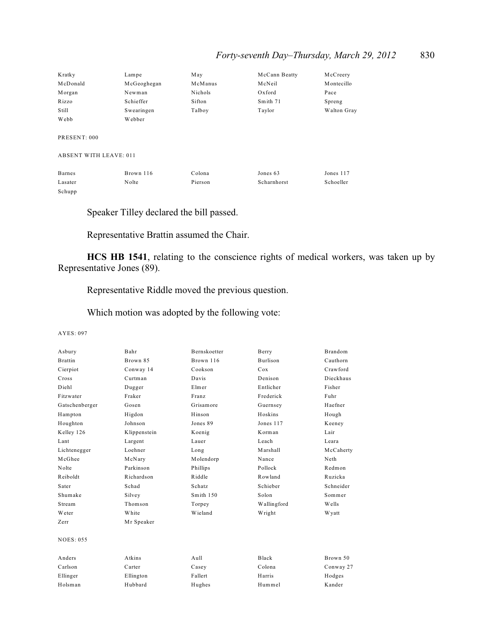| Kratky                        | Lampe       | May     | McCann Beatty | McCreery    |
|-------------------------------|-------------|---------|---------------|-------------|
| McDonald                      | McGeoghegan | McManus | McNeil        | Montecillo  |
| Morgan                        | Newman      | Nichols | Oxford        | Pace        |
| Rizzo                         | Schieffer   | Sifton  | Smith 71      | Spreng      |
| Still                         | Swearingen  | Talboy  | Taylor        | Walton Gray |
| Webb                          | Webber      |         |               |             |
| PRESENT: 000                  |             |         |               |             |
| <b>ABSENT WITH LEAVE: 011</b> |             |         |               |             |
| <b>Barnes</b>                 | Brown 116   | Colona  | Jones 63      | Jones 117   |
| Lasater                       | Nolte       | Pierson | Scharnhorst   | Schoeller   |

Schupp

Speaker Tilley declared the bill passed.

Representative Brattin assumed the Chair.

**HCS HB 1541**, relating to the conscience rights of medical workers, was taken up by Representative Jones (89).

Representative Riddle moved the previous question.

Which motion was adopted by the following vote:

| Asbury           | Bahr         | Bernskoetter | Berry           | Brandom   |
|------------------|--------------|--------------|-----------------|-----------|
| <b>Brattin</b>   | Brown 85     | Brown 116    | <b>Burlison</b> | Cauthorn  |
| Cierpiot         | Conway 14    | Cookson      | Cox             | Crawford  |
| Cross            | Curtman      | Davis        | Denison         | Dieckhaus |
| Diehl            | Dugger       | Elmer        | Entlicher       | Fisher    |
| Fitzwater        | Fraker       | Franz        | Frederick       | Fuhr      |
| Gatschenberger   | Gosen        | Grisamore    | Guernsey        | Haefner   |
| Hampton          | Higdon       | Hinson       | Hoskins         | Hough     |
| Houghton         | Johnson      | Jones 89     | Jones 117       | Keeney    |
| Kelley 126       | Klippenstein | Koenig       | Korman          | Lair      |
| Lant             | Largent      | Lauer        | Leach           | Leara     |
| Lichtenegger     | Loehner      | Long         | Marshall        | McCaherty |
| McGhee           | McNary       | Molendorp    | Nance           | Neth      |
| Nolte            | Parkinson    | Phillips     | Pollock         | Redmon    |
| Reiboldt         | Richardson   | Riddle       | Rowland         | Ruzicka   |
| Sater            | Schad        | Schatz       | Schieber        | Schneider |
| Shumake          | Silvey       | Smith 150    | Solon           | Sommer    |
| Stream           | Thomson      | Torpey       | Wallingford     | Wells     |
| Weter            | White        | Wieland      | Wright          | W yatt    |
| Zerr             | Mr Speaker   |              |                 |           |
| <b>NOES: 055</b> |              |              |                 |           |
| Anders           | Atkins       | $A$ ull      | Black           | Brown 50  |
| Carlson          | Carter       | Casey        | Colona          | Conway 27 |
| Ellinger         | Ellington    | Fallert      | Harris          | Hodges    |
| Holsman          | Hubbard      | Hughes       | Hummel          | Kander    |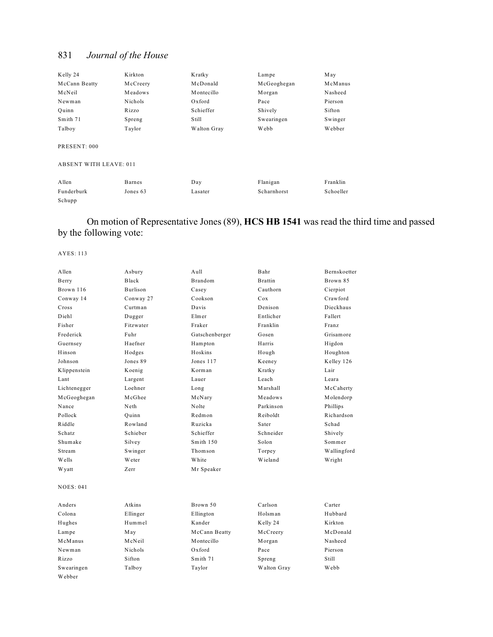| Kelly 24      | Kirkton  | Kratky      | Lampe       | May     |
|---------------|----------|-------------|-------------|---------|
| McCann Beatty | McCreery | McDonald    | McGeoghegan | McManus |
| McNeil        | Meadows  | Montecillo  | Morgan      | Nasheed |
| Newman        | Nichols  | Oxford      | Pace        | Pierson |
| Ouinn         | Rizzo    | Schieffer   | Shively     | Sifton  |
| Smith 71      | Spreng   | Still       | Swearingen  | Swinger |
| Talboy        | Taylor   | Walton Gray | Webb        | Webber  |
|               |          |             |             |         |

PRESENT: 000

#### ABSENT WITH LEAVE: 011

| Allen      | Barnes   | Day     | Flanigan    | Franklin  |
|------------|----------|---------|-------------|-----------|
| Funderburk | Jones 63 | Lasater | Scharnhorst | Schoeller |
| Schupp     |          |         |             |           |

# On motion of Representative Jones (89), **HCS HB 1541** was read the third time and passed by the following vote:

| Allen            | Asbury       | Aull           | Bahr           | Bernskoetter |
|------------------|--------------|----------------|----------------|--------------|
| Berry            | <b>Black</b> | <b>Brandom</b> | <b>Brattin</b> | Brown 85     |
| Brown 116        | Burlison     | Casey          | Cauthorn       | Cierpiot     |
| Conway 14        | Conway 27    | Cookson        | Cox            | Crawford     |
| Cross            | Curtman      | Davis          | Denison        | Dieckhaus    |
| Diehl            | Dugger       | Elmer          | Entlicher      | Fallert      |
| Fisher           | Fitzwater    | Fraker         | Franklin       | Franz        |
| Frederick        | Fuhr         | Gatschenberger | Gosen          | Grisamore    |
| Guernsey         | Haefner      | Hampton        | Harris         | Higdon       |
| Hinson           | Hodges       | Hoskins        | Hough          | Houghton     |
| Johnson          | Jones 89     | Jones 117      | Keeney         | Kelley 126   |
| Klippenstein     | Koenig       | Korman         | Kratky         | Lair         |
| Lant             | Largent      | Lauer          | Leach          | Leara        |
| Lichtenegger     | Loehner      | Long           | Marshall       | McCaherty    |
| McGeoghegan      | McGhee       | McNary         | Meadows        | Molendorp    |
| Nance            | Neth         | Nolte          | Parkinson      | Phillips     |
| Pollock          | Ouinn        | Redmon         | Reiboldt       | Richardson   |
| Riddle           | Rowland      | Ruzicka        | Sater          | Schad        |
| Schatz           | Schieber     | Schieffer      | Schneider      | Shively      |
| Shumake          | Silvey       | Smith 150      | Solon          | Sommer       |
| Stream           | Swinger      | Thomson        | Torpey         | Wallingford  |
| Wells            | Weter        | White          | Wieland        | Wright       |
| <b>Wyatt</b>     | Zerr         | Mr Speaker     |                |              |
| <b>NOES: 041</b> |              |                |                |              |
| Anders           | Atkins       | Brown 50       | Carlson        | Carter       |
| Colona           | Ellinger     | Ellington      | Holsman        | Hubbard      |
| Hughes           | Hummel       | Kander         | Kelly 24       | Kirkton      |
| Lampe            | May          | McCann Beatty  | McCreery       | McDonald     |
| McManus          | McNeil       | Montecillo     | Morgan         | Nasheed      |
| Newman           | Nichols      | Oxford         | Pace           | Pierson      |
| Rizzo            | Sifton       | Smith 71       | Spreng         | Still        |
| Swearingen       | Talboy       | Taylor         | Walton Gray    | Webb         |
| Webber           |              |                |                |              |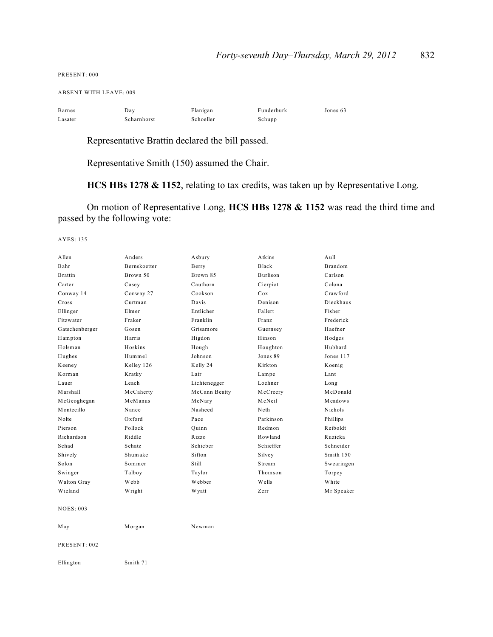PRESENT: 000

ABSENT WITH LEAVE: 009

| Barnes  | Day         | Flanigan  | Funderburk | Jones 63 |
|---------|-------------|-----------|------------|----------|
| Lasater | Scharnhorst | Schoeller | Schupp     |          |

Representative Brattin declared the bill passed.

Representative Smith (150) assumed the Chair.

**HCS HBs 1278 & 1152**, relating to tax credits, was taken up by Representative Long.

On motion of Representative Long, **HCS HBs 1278 & 1152** was read the third time and passed by the following vote:

| Allen            | Anders              | Asbury        | Atkins       | Aull           |
|------------------|---------------------|---------------|--------------|----------------|
| Bahr             | <b>Bernskoetter</b> | Berry         | <b>Black</b> | <b>Brandom</b> |
| <b>Brattin</b>   | Brown 50            | Brown 85      | Burlison     | Carlson        |
| Carter           | Casey               | Cauthorn      | Cierpiot     | Colona         |
| Conway 14        | Conway 27           | Cookson       | Cox          | Crawford       |
| Cross            | Curtman             | Davis         | Denison      | Dieckhaus      |
| Ellinger         | Elmer               | Entlicher     | Fallert      | Fisher         |
| Fitzwater        | Fraker              | Franklin      | Franz        | Frederick      |
| Gatschenberger   | Gosen               | Grisamore     | Guernsey     | Haefner        |
| Hampton          | Harris              | Higdon        | Hinson       | Hodges         |
| Holsman          | Hoskins             | Hough         | Houghton     | Hubbard        |
| Hughes           | Hummel              | Johnson       | Jones 89     | Jones 117      |
| Keeney           | Kelley 126          | Kelly 24      | Kirkton      | Koenig         |
| Korman           | Kratky              | Lair          | Lampe        | Lant           |
| Lauer            | Leach               | Lichtenegger  | Loehner      | Long           |
| Marshall         | McCaherty           | McCann Beatty | McCreery     | McDonald       |
| McGeoghegan      | McManus             | McNary        | McNeil       | Meadows        |
| Montecillo       | Nance               | Nasheed       | Neth         | Nichols        |
| Nolte            | $Ox$ ford           | Pace          | Parkinson    | Phillips       |
| Pierson          | Pollock             | Quinn         | Redmon       | Reiboldt       |
| Richardson       | Riddle              | Rizzo         | Rowland      | Ruzicka        |
| Schad            | Schatz              | Schieber      | Schieffer    | Schneider      |
| Shively          | Shumake             | Sifton        | Silvey       | Smith 150      |
| Solon            | Sommer              | Still         | Stream       | Swearingen     |
| Swinger          | Talboy              | Taylor        | Thomson      | Torpey         |
| Walton Gray      | Webb                | Webber        | Wells        | White          |
| Wieland          | Wright              | W yatt        | Zerr         | Mr Speaker     |
| <b>NOES: 003</b> |                     |               |              |                |
| May              | Morgan              | Newman        |              |                |
| PRESENT: 002     |                     |               |              |                |
| Ellington        | Smith 71            |               |              |                |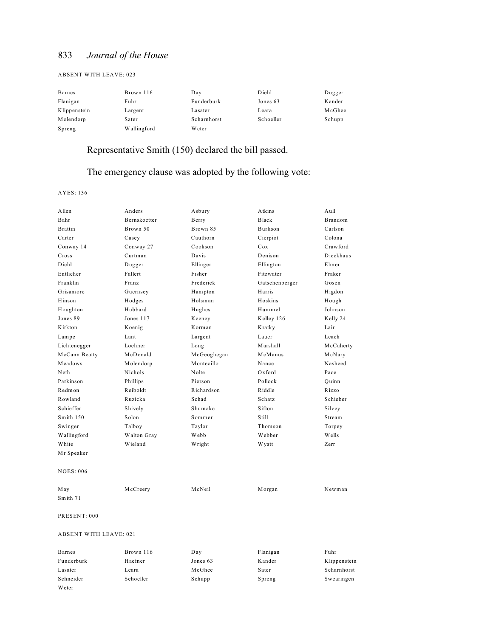#### ABSENT WITH LEAVE: 023

| Barnes       | Brown 116   | Day         | Diehl     | Dugger |
|--------------|-------------|-------------|-----------|--------|
| Flanigan     | Fuhr        | Funderburk  | Jones 63  | Kander |
| Klippenstein | Largent     | Lasater     | Leara     | McGhee |
| Molendorp    | Sater       | Scharnhorst | Schoeller | Schupp |
| Spreng       | Wallingford | W eter      |           |        |

# Representative Smith (150) declared the bill passed.

### The emergency clause was adopted by the following vote:

AYES: 136

Weter

| A llen                        | Anders       | Asbury      | Atkins         | $A$ ull      |
|-------------------------------|--------------|-------------|----------------|--------------|
| Bahr                          | Bernskoetter | Berry       | <b>Black</b>   | Brandom      |
| <b>Brattin</b>                | Brown 50     | Brown 85    | Burlison       | Carlson      |
| Carter                        | Casey        | Cauthorn    | Cierpiot       | Colona       |
| Conway 14                     | Conway 27    | Cookson     | Cox            | Crawford     |
| Cross                         | Curtman      | Davis       | Denison        | Dieckhaus    |
| Diehl                         | Dugger       | Ellinger    | Ellington      | Elmer        |
| Entlicher                     | Fallert      | Fisher      | Fitzwater      | Fraker       |
| Franklin                      | Franz        | Frederick   | Gatschenberger | Gosen        |
| Grisamore                     | Guernsey     | Hampton     | Harris         | Higdon       |
| Hinson                        | Hodges       | Holsman     | Hoskins        | Hough        |
| Houghton                      | Hubbard      | Hughes      | Hummel         | Johnson      |
| Jones 89                      | Jones 117    | Keeney      | Kelley 126     | Kelly 24     |
| Kirkton                       | Koenig       | Korman      | Kratky         | Lair         |
| Lampe                         | Lant         | Largent     | Lauer          | Leach        |
| Lichtenegger                  | Loehner      | Long        | Marshall       | McCaherty    |
| McCann Beatty                 | McDonald     | McGeoghegan | McManus        | McNary       |
| Meadows                       | Molendorp    | Montecillo  | Nance          | Nasheed      |
| Neth                          | Nichols      | Nolte       | Oxford         | Pace         |
| Parkinson                     | Phillips     | Pierson     | Pollock        | Quinn        |
| Redmon                        | Reiboldt     | Richardson  | Riddle         | Rizzo        |
| Rowland                       | Ruzicka      | Schad       | Schatz         | Schieber     |
| Schieffer                     | Shively      | Shumake     | Sifton         | Silvey       |
| Smith 150                     | Solon        | Sommer      | Still          | Stream       |
| Swinger                       | Talboy       | Taylor      | Thomson        | Torpey       |
| Wallingford                   | Walton Gray  | Webb        | Webber         | Wells        |
| White                         | Wieland      | Wright      | W yatt         | Zerr         |
| Mr Speaker                    |              |             |                |              |
| <b>NOES: 006</b>              |              |             |                |              |
| May                           | McCreery     | McNeil      | Morgan         | Newman       |
| Smith 71                      |              |             |                |              |
| PRESENT: 000                  |              |             |                |              |
| <b>ABSENT WITH LEAVE: 021</b> |              |             |                |              |
| <b>Barnes</b>                 | Brown 116    | Day         | Flanigan       | Fuhr         |
| Funderburk                    | Haefner      | Jones 63    | Kander         | Klippenstein |
| Lasater                       | Leara        | McGhee      | Sater          | Scharnhorst  |

Schneider Schoeller Schupp Spreng Swearingen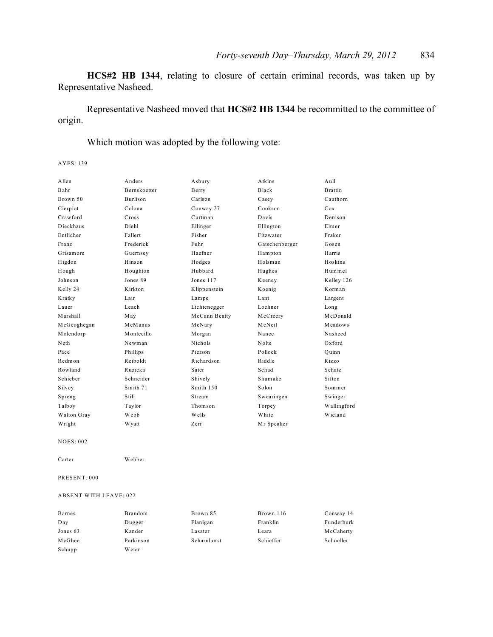**HCS#2 HB 1344**, relating to closure of certain criminal records, was taken up by Representative Nasheed.

Representative Nasheed moved that **HCS#2 HB 1344** be recommitted to the committee of origin.

Which motion was adopted by the following vote:

AYES: 139

| Allen            | Anders              | Asbury        | Atkins         | A <sub>u</sub> 11 |
|------------------|---------------------|---------------|----------------|-------------------|
| Bahr             | <b>Bernskoetter</b> | Berry         | Black          | <b>Brattin</b>    |
| Brown 50         | Burlison            | Carlson       | Casey          | Cauthorn          |
| Cierpiot         | Colona              | Conway 27     | Cookson        | Cox               |
| Crawford         | Cross               | Curtman       | Davis          | Denison           |
| Dieckhaus        | Diehl               | Ellinger      | Ellington      | Elmer             |
| Entlicher        | Fallert             | Fisher        | Fitzwater      | Fraker            |
| Franz            | Frederick           | Fuhr          | Gatschenberger | Gosen             |
| Grisamore        | Guernsey            | Haefner       | Hampton        | Harris            |
| Higdon           | Hinson              | Hodges        | Holsman        | Hoskins           |
| Hough            | Houghton            | Hubbard       | Hughes         | Hummel            |
| Johnson          | Jones 89            | Jones 117     | Keeney         | Kelley 126        |
| Kelly 24         | Kirkton             | Klippenstein  | Koenig         | Korman            |
| Kratky           | Lair                | Lampe         | Lant           | Largent           |
| Lauer            | Leach               | Lichtenegger  | Loehner        | Long              |
| Marshall         | May                 | McCann Beatty | McCreery       | McDonald          |
| McGeoghegan      | McManus             | McNary        | McNeil         | Meadows           |
| Molendorp        | Montecillo          | Morgan        | Nance          | Nasheed           |
| Neth             | Newman              | Nichols       | Nolte          | Oxford            |
| Pace             | Phillips            | Pierson       | Pollock        | Ouinn             |
| Redmon           | Reiboldt            | Richardson    | Riddle         | Rizzo             |
| Rowland          | Ruzicka             | Sater         | Schad          | Schatz            |
| Schieber         | Schneider           | Shively       | Shumake        | Sifton            |
| Silvey           | Smith 71            | Smith 150     | Solon          | Sommer            |
| Spreng           | Still               | Stream        | Swearingen     | Swinger           |
| Talboy           | Taylor              | Thomson       | Torpey         | Wallingford       |
| Walton Gray      | Webb                | Wells         | White          | Wieland           |
| Wright           | <b>Wyatt</b>        | Zerr          | Mr Speaker     |                   |
| <b>NOES: 002</b> |                     |               |                |                   |
| Carter           | Webber              |               |                |                   |

PRESENT: 000

#### ABSENT WITH LEAVE: 022

| Barnes   | Brandom   | Brown 85    | Brown 116 | Conway 14  |
|----------|-----------|-------------|-----------|------------|
| Day      | Dugger    | Flanigan    | Franklin  | Funderburk |
| Jones 63 | Kander    | Lasater     | Leara     | McCaherty  |
| McGhee   | Parkinson | Scharnhorst | Schieffer | Schoeller  |
| Schupp   | Weter     |             |           |            |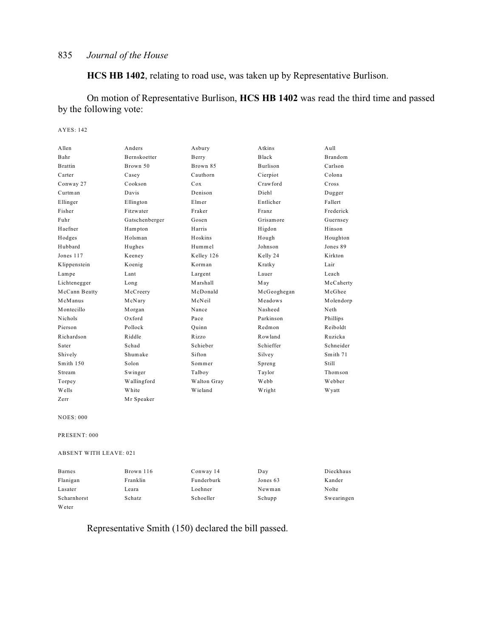**HCS HB 1402**, relating to road use, was taken up by Representative Burlison.

On motion of Representative Burlison, **HCS HB 1402** was read the third time and passed by the following vote:

#### AYES: 142

| Allen          | Anders              | Asbury      | Atkins          | Aull      |
|----------------|---------------------|-------------|-----------------|-----------|
| Bahr           | <b>Bernskoetter</b> | Berry       | <b>Black</b>    | Brandom   |
| <b>Brattin</b> | Brown 50            | Brown 85    | <b>Burlison</b> | Carlson   |
| Carter         | Casey               | Cauthorn    | Cierpiot        | Colona    |
| Conway 27      | Cookson             | Cox         | Crawford        | Cross     |
| Curtman        | Davis               | Denison     | Diehl           | Dugger    |
| Ellinger       | Ellington           | Elmer       | Entlicher       | Fallert   |
| Fisher         | Fitzwater           | Fraker      | Franz           | Frederick |
| Fuhr           | Gatschenberger      | Gosen       | Grisamore       | Guernsey  |
| Haefner        | Hampton             | Harris      | Higdon          | Hinson    |
| Hodges         | Holsman             | Hoskins     | Hough           | Houghton  |
| Hubbard        | Hughes              | Hummel      | Johnson         | Jones 89  |
| Jones 117      | Keeney              | Kelley 126  | Kelly 24        | Kirkton   |
| Klippenstein   | Koenig              | Korman      | Kratky          | Lair      |
| Lampe          | Lant                | Largent     | Lauer           | Leach     |
| Lichtenegger   | Long                | Marshall    | May             | McCaherty |
| McCann Beatty  | McCreery            | McDonald    | McGeoghegan     | McGhee    |
| McManus        | McNary              | McNeil      | Meadows         | Molendorp |
| Montecillo     | Morgan              | Nance       | Nasheed         | Neth      |
| <b>Nichols</b> | $Ox$ ford           | Pace        | Parkinson       | Phillips  |
| Pierson        | Pollock             | Ouinn       | Redmon          | Reiboldt  |
| Richardson     | Riddle              | Rizzo       | Rowland         | Ruzicka   |
| Sater          | Schad               | Schieber    | Schieffer       | Schneider |
| Shively        | Shumake             | Sifton      | Silvey          | Smith 71  |
| Smith 150      | Solon               | Sommer      | Spreng          | Still     |
| Stream         | Swinger             | Talboy      | Taylor          | Thomson   |
| Torpey         | Wallingford         | Walton Gray | Webb            | Webber    |
| Wells          | White               | Wieland     | Wright          | W yatt    |

NOES: 000

PRESENT: 000

ABSENT WITH LEAVE: 021

Zerr Mr Speaker

| <b>Barnes</b> | Brown 116 | Conway 14  | Day      | Dieckhaus  |
|---------------|-----------|------------|----------|------------|
| Flanigan      | Franklin  | Funderburk | Jones 63 | Kander     |
| Lasater       | Leara     | Loehner    | Newman   | Nolte      |
| Scharnhorst   | Schatz    | Schoeller  | Schupp   | Swearingen |
| Weter         |           |            |          |            |

# Representative Smith (150) declared the bill passed.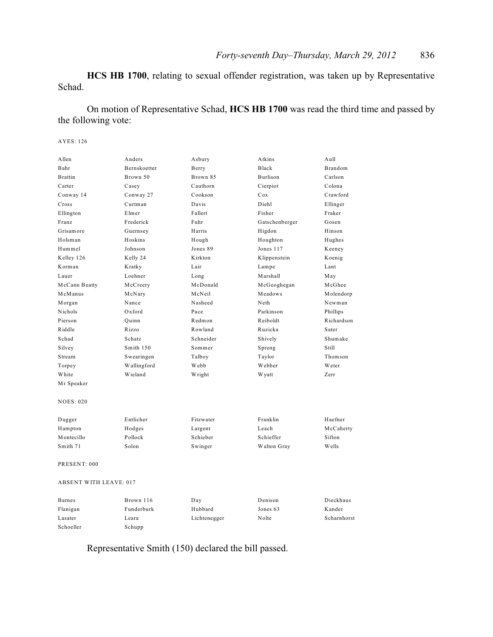**HCS HB 1700**, relating to sexual offender registration, was taken up by Representative Schad.

On motion of Representative Schad, **HCS HB 1700** was read the third time and passed by the following vote:

#### AYES: 126

| Allen                         | Anders              | Asbury       | Atkins         | Aull           |
|-------------------------------|---------------------|--------------|----------------|----------------|
| Bahr                          | <b>Bernskoetter</b> | Berry        | <b>Black</b>   | <b>Brandom</b> |
| <b>Brattin</b>                | Brown 50            | Brown 85     | Burlison       | Carlson        |
| Carter                        | Casey               | Cauthorn     | Cierpiot       | Colona         |
| Conway 14                     | Conway 27           | Cookson      | Cox            | Crawford       |
| Cross                         | Curtman             | Davis        | Diehl          | Ellinger       |
| Ellington                     | Elmer               | Fallert      | Fisher         | Fraker         |
| Franz                         | Frederick           | Fuhr         | Gatschenberger | Gosen          |
| Grisamore                     | Guernsey            | Harris       | Higdon         | Hinson         |
| Holsman                       | Hoskins             | Hough        | Houghton       | Hughes         |
| Hummel                        | Johnson             | Jones 89     | Jones 117      | Keeney         |
| Kelley 126                    | Kelly 24            | Kirkton      | Klippenstein   | Koenig         |
| Korman                        | Kratky              | Lair         | Lampe          | Lant           |
| Lauer                         | Loehner             | Long         | Marshall       | May            |
| McCann Beatty                 | McCreery            | McDonald     | McGeoghegan    | McGhee         |
| McManus                       | McNary              | McNeil       | Meadows        | Molendorp      |
| Morgan                        | Nance               | Nasheed      | Neth           | Newman         |
| Nichols                       | Oxford              | Pace         | Parkinson      | Phillips       |
| Pierson                       | Quinn               | Redmon       | Reiboldt       | Richardson     |
| Riddle                        | Rizzo               | Rowland      | Ruzicka        | Sater          |
| Schad                         | Schatz              | Schneider    | Shively        | Shumake        |
| Silvey                        | Smith 150           | Sommer       | Spreng         | Still          |
| Stream                        | Swearingen          | Talboy       | Taylor         | Thomson        |
| Torpey                        | Wallingford         | Webb         | Webber         | Weter          |
| White                         | Wieland             | Wright       | W yatt         | Zerr           |
| Mr Speaker                    |                     |              |                |                |
| <b>NOES: 020</b>              |                     |              |                |                |
| Dugger                        | Entlicher           | Fitzwater    | Franklin       | Haefner        |
| Hampton                       | Hodges              | Largent      | Leach          | McCaherty      |
| Montecillo                    | Pollock             | Schieber     | Schieffer      | Sifton         |
| Smith 71                      | Solon               | Swinger      | Walton Gray    | Wells          |
| PRESENT: 000                  |                     |              |                |                |
| <b>ABSENT WITH LEAVE: 017</b> |                     |              |                |                |
| <b>Barnes</b>                 | Brown 116           | Day          | Denison        | Dieckhaus      |
| Flanigan                      | Funderburk          | Hubbard      | Jones 63       | Kander         |
| Lasater                       | Leara               | Lichtenegger | Nolte          | Scharnhorst    |

Representative Smith (150) declared the bill passed.

Schoeller Schupp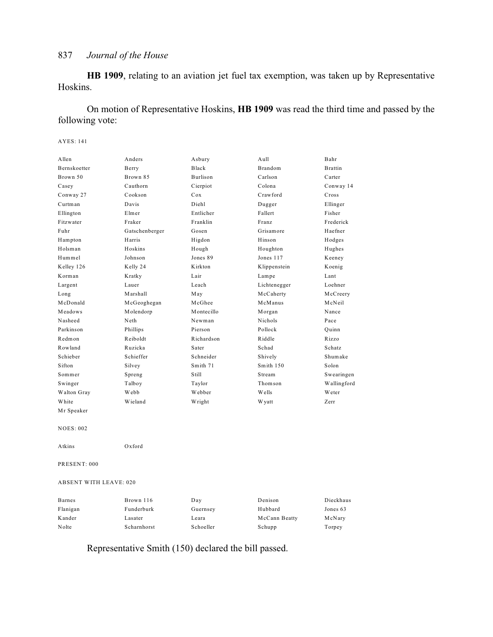**HB 1909**, relating to an aviation jet fuel tax exemption, was taken up by Representative Hoskins.

On motion of Representative Hoskins, **HB 1909** was read the third time and passed by the following vote:

#### AYES: 141

| Allen                         | Anders         | Asbury     | Aull          | Bahr           |
|-------------------------------|----------------|------------|---------------|----------------|
| Bernskoetter                  | Berry          | Black      | Brandom       | <b>Brattin</b> |
| Brown 50                      | Brown 85       | Burlison   | Carlson       | Carter         |
| Casey                         | Cauthorn       | Cierpiot   | Colona        | Conway 14      |
| Conway 27                     | Cookson        | Cox        | Crawford      | Cross          |
| Curtman                       | Davis          | Diehl      | Dugger        | Ellinger       |
| Ellington                     | Elmer          | Entlicher  | Fallert       | Fisher         |
| Fitzwater                     | Fraker         | Franklin   | Franz         | Frederick      |
| Fuhr                          | Gatschenberger | Gosen      | Grisamore     | Haefner        |
| Hampton                       | Harris         | Higdon     | Hinson        | Hodges         |
| Holsman                       | Hoskins        | Hough      | Houghton      | Hughes         |
| Hummel                        | Johnson        | Jones 89   | Jones 117     | Keeney         |
| Kelley 126                    | Kelly 24       | Kirkton    | Klippenstein  | Koenig         |
| Korman                        | Kratky         | Lair       | Lampe         | Lant           |
| Largent                       | Lauer          | Leach      | Lichtenegger  | Loehner        |
| Long                          | Marshall       | May        | McCaherty     | McCreery       |
| McDonald                      | McGeoghegan    | McGhee     | McManus       | McNeil         |
| Meadows                       | Molendorp      | Montecillo | Morgan        | Nance          |
| Nasheed                       | Neth           | Newman     | Nichols       | Pace           |
| Parkinson                     | Phillips       | Pierson    | Pollock       | Ouinn          |
| Redmon                        | Reiboldt       | Richardson | Riddle        | Rizzo          |
| Rowland                       | Ruzicka        | Sater      | Schad         | Schatz         |
| Schieber                      | Schieffer      | Schneider  | Shively       | Shumake        |
| Sifton                        | Silvey         | Smith 71   | Smith 150     | Solon          |
| Sommer                        | Spreng         | Still      | Stream        | Swearingen     |
| Swinger                       | Talboy         | Taylor     | Thomson       | Wallingford    |
| Walton Gray                   | Webb           | Webber     | Wells         | <b>W</b> eter  |
| White                         | Wieland        | Wright     | W yatt        | Zerr           |
| Mr Speaker                    |                |            |               |                |
| <b>NOES: 002</b>              |                |            |               |                |
| Atkins                        | Oxford         |            |               |                |
| PRESENT: 000                  |                |            |               |                |
| <b>ABSENT WITH LEAVE: 020</b> |                |            |               |                |
| <b>Barnes</b>                 | Brown 116      | Day        | Denison       | Dieckhaus      |
| Flanigan                      | Funderburk     | Guernsey   | Hubbard       | Jones 63       |
| Kander                        | Lasater        | Leara      | McCann Beatty | McNary         |
| Nolte                         | Scharnhorst    | Schoeller  | Schupp        | Torpey         |

Representative Smith (150) declared the bill passed.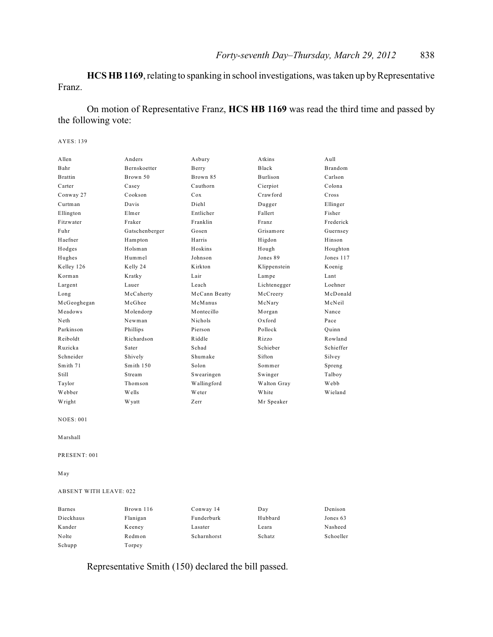**HCS HB 1169**, relating to spanking in school investigations, was taken up by Representative Franz.

On motion of Representative Franz, **HCS HB 1169** was read the third time and passed by the following vote:

#### AYES: 139

| Allen          | Anders              | Asbury         | Atkins          | A <sub>u</sub> 11 |
|----------------|---------------------|----------------|-----------------|-------------------|
| Bahr           | <b>Bernskoetter</b> | Berry          | <b>Black</b>    | <b>Brandom</b>    |
| <b>Brattin</b> | Brown 50            | Brown 85       | <b>Burlison</b> | Carlson           |
| Carter         | Casey               | Cauthorn       | Cierpiot        | Colona            |
| Conway 27      | Cookson             | Cox            | Crawford        | Cross             |
| Curtman        | Davis               | Diehl          | Dugger          | Ellinger          |
| Ellington      | Elmer               | Entlicher      | Fallert         | Fisher            |
| Fitzwater      | Fraker              | Franklin       | Franz           | Frederick         |
| Fuhr           | Gatschenberger      | Gosen          | Grisamore       | Guernsey          |
| Haefner        | Hampton             | Harris         | Higdon          | Hinson            |
| Hodges         | Holsman             | Hoskins        | Hough           | Houghton          |
| Hughes         | Hummel              | Johnson        | Jones 89        | Jones 117         |
| Kelley 126     | Kelly 24            | Kirkton        | Klippenstein    | Koenig            |
| Korman         | Kratky              | Lair           | Lampe           | Lant              |
| Largent        | Lauer               | Leach          | Lichtenegger    | Loehner           |
| Long           | McCaherty           | McCann Beatty  | McCreery        | McDonald          |
| McGeoghegan    | McGhee              | McManus        | McNary          | McNeil            |
| Meadows        | Molendorp           | Montecillo     | Morgan          | Nance             |
| Neth           | Newman              | <b>Nichols</b> | $Ox$ ford       | Pace              |
| Parkinson      | Phillips            | Pierson        | Pollock         | Ouinn             |
| Reiboldt       | Richardson          | Riddle         | Rizzo           | Rowland           |
| Ruzicka        | Sater               | Schad          | Schieber        | Schieffer         |
| Schneider      | Shively             | Shumake        | Sifton          | Silvey            |
| Smith 71       | Smith 150           | Solon          | Sommer          | Spreng            |
| Still          | Stream              | Swearingen     | Swinger         | Talboy            |
| Taylor         | Thomson             | Wallingford    | Walton Gray     | Webb              |
| Webber         | Wells               | Weter          | White           | Wieland           |
| Wright         | W yatt              | Zerr           | Mr Speaker      |                   |
|                |                     |                |                 |                   |

NOES: 001

Marshall

PRESENT: 001

May

#### ABSENT WITH LEAVE: 022

| Barnes    | Brown 116 | Conway 14   | Day     | Denison   |
|-----------|-----------|-------------|---------|-----------|
| Dieckhaus | Flanigan  | Funderburk  | Hubbard | Jones 63  |
| Kander    | Keeney    | Lasater     | Leara   | Nasheed   |
| Nolte     | Redmon    | Scharnhorst | Schatz  | Schoeller |
| Schupp    | Torpey    |             |         |           |

Representative Smith (150) declared the bill passed.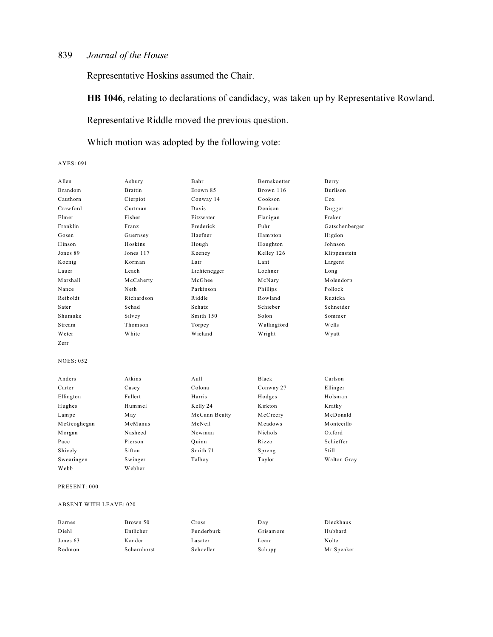Representative Hoskins assumed the Chair.

**HB 1046**, relating to declarations of candidacy, was taken up by Representative Rowland.

Representative Riddle moved the previous question.

Which motion was adopted by the following vote:

#### AYES: 091

| A llen           | Asbury         | Bahr          | <b>Bernskoetter</b> | Berry           |
|------------------|----------------|---------------|---------------------|-----------------|
| <b>Brandom</b>   | <b>Brattin</b> | Brown 85      | Brown 116           | <b>Burlison</b> |
| Cauthorn         | Cierpiot       | Conway 14     | Cookson             | Cox             |
| Crawford         | Curtman        | Davis         | Denison             | Dugger          |
| Elmer            | Fisher         | Fitzwater     | Flanigan            | Fraker          |
| Franklin         | Franz          | Frederick     | Fuhr                | Gatschenberger  |
| Gosen            | Guernsey       | Haefner       | Hampton             | Higdon          |
| Hinson           | Hoskins        | Hough         | Houghton            | Johnson         |
| Jones 89         | Jones 117      | Keeney        | Kelley 126          | Klippenstein    |
| Koenig           | Korman         | Lair          | Lant                | Largent         |
| Lauer            | Leach          | Lichtenegger  | Loehner             | Long            |
| Marshall         | McCaherty      | McGhee        | McNary              | Molendorp       |
| Nance            | Neth           | Parkinson     | Phillips            | Pollock         |
| Reiboldt         | Richardson     | Riddle        | Rowland             | Ruzicka         |
| Sater            | Schad          | Schatz        | Schieber            | Schneider       |
| Shumake          | Silvey         | Smith 150     | Solon               | Sommer          |
| Stream           | Thomson        | Torpey        | Wallingford         | Wells           |
| Weter            | White          | Wieland       | Wright              | W yatt          |
| Zerr             |                |               |                     |                 |
|                  |                |               |                     |                 |
| <b>NOES: 052</b> |                |               |                     |                 |
| Anders           | Atkins         | Aull          | Black               | Carlson         |
| Carter           | Casey          | Colona        | Conway 27           | Ellinger        |
| Ellington        | Fallert        | Harris        | Hodges              | Holsman         |
| Hughes           | Hummel         | Kelly 24      | Kirkton             | Kratky          |
| Lampe            | May            | McCann Beatty | McCreery            | McDonald        |
| McGeoghegan      | McManus        | McNeil        | Meadows             | Montecillo      |
| Morgan           | Nasheed        | Newman        | Nichols             | Oxford          |
| Pace             | Pierson        | Quinn         | Rizzo               | Schieffer       |
| Shively          | Sifton         | Smith 71      | Spreng              | Still           |
| Swearingen       | Swinger        | Talboy        | Taylor              | Walton Gray     |
| Webb             | Webber         |               |                     |                 |
|                  |                |               |                     |                 |

#### PRESENT: 000

#### ABSENT WITH LEAVE: 020

| <b>Barnes</b> | Brown 50    | Cross      | Day       | Dieckhaus  |
|---------------|-------------|------------|-----------|------------|
| Diehl         | Entlicher   | Funderburk | Grisamore | Hubbard    |
| Jones 63      | Kander      | Lasater    | Leara     | Nolte      |
| Redmon        | Scharnhorst | Schoeller  | Schupp    | Mr Speaker |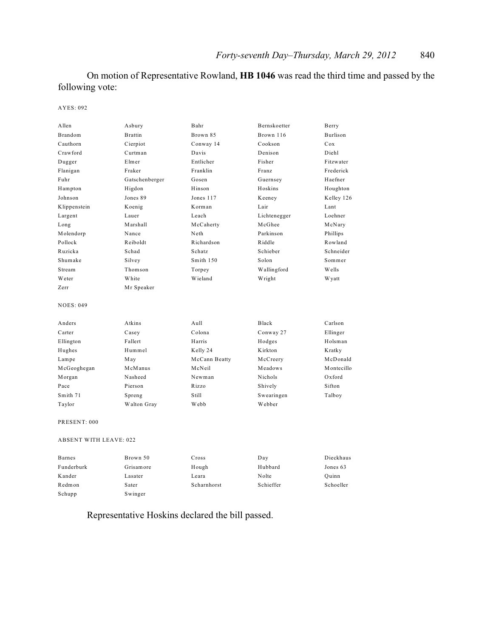On motion of Representative Rowland, **HB 1046** was read the third time and passed by the following vote:

#### AYES: 092

| Allen                         | Asbury         | Bahr          | Bernskoetter | Berry      |
|-------------------------------|----------------|---------------|--------------|------------|
| Brandom                       | <b>Brattin</b> | Brown 85      | Brown 116    | Burlison   |
| Cauthorn                      | Cierpiot       | Conway 14     | Cookson      | Cox        |
| Crawford                      | Curtman        | Davis         | Denison      | Diehl      |
| Dugger                        | Elmer          | Entlicher     | Fisher       | Fitzwater  |
| Flanigan                      | Fraker         | Franklin      | Franz        | Frederick  |
| Fuhr                          | Gatschenberger | Gosen         | Guernsey     | Haefner    |
| Hampton                       | Higdon         | Hinson        | Hoskins      | Houghton   |
| Johnson                       | Jones 89       | Jones 117     | Keeney       | Kelley 126 |
| Klippenstein                  | Koenig         | Korman        | Lair         | Lant       |
| Largent                       | Lauer          | Leach         | Lichtenegger | Loehner    |
| Long                          | Marshall       | McCaherty     | McGhee       | McNary     |
| Molendorp                     | Nance          | Neth          | Parkinson    | Phillips   |
| Pollock                       | Reiboldt       | Richardson    | Riddle       | Rowland    |
| Ruzicka                       | Schad          | Schatz        | Schieber     | Schneider  |
| Shumake                       | Silvey         | Smith 150     | Solon        | Sommer     |
| Stream                        | Thomson        | Torpey        | Wallingford  | Wells      |
| Weter                         | White          | Wieland       | Wright       | W yatt     |
| Zerr                          | Mr Speaker     |               |              |            |
| <b>NOES: 049</b>              |                |               |              |            |
| Anders                        | Atkins         | Aull          | Black        | Carlson    |
| Carter                        | Casey          | Colona        | Conway 27    | Ellinger   |
| Ellington                     | Fallert        | Harris        | Hodges       | Holsman    |
| Hughes                        | Hummel         | Kelly 24      | Kirkton      | Kratky     |
| Lampe                         | May            | McCann Beatty | McCreery     | McDonald   |
| McGeoghegan                   | McManus        | McNeil        | Meadows      | Montecillo |
| Morgan                        | Nasheed        | Newman        | Nichols      | Oxford     |
| Pace                          | Pierson        | Rizzo         | Shively      | Sifton     |
| Smith 71                      | Spreng         | Still         | Swearingen   | Talboy     |
| Taylor                        | Walton Gray    | Webb          | Webber       |            |
| PRESENT: 000                  |                |               |              |            |
| <b>ABSENT WITH LEAVE: 022</b> |                |               |              |            |
| <b>Barnes</b>                 | Brown 50       | Cross         | Day          | Dieckhaus  |

| Dance.     | $1.00011 \times 0.001$ | $\sim$ 1000 | <u>Dav</u> | Diveniau  |
|------------|------------------------|-------------|------------|-----------|
| Funderburk | Grisamore              | Hough       | Hubbard    | Jones 63  |
| Kander     | Lasater                | Leara       | Nolte      | Ouinn     |
| Redmon     | Sater                  | Scharnhorst | Schieffer  | Schoeller |
| Schupp     | Swinger                |             |            |           |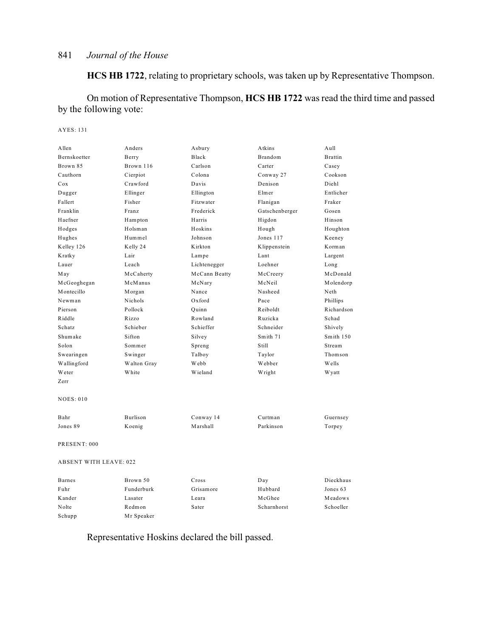**HCS HB 1722**, relating to proprietary schools, was taken up by Representative Thompson.

On motion of Representative Thompson, **HCS HB 1722** was read the third time and passed by the following vote:

### AYES: 131

| Allen                         | Anders      | Asbury        | Atkins         | Aull           |
|-------------------------------|-------------|---------------|----------------|----------------|
| Bernskoetter                  | Berry       | Black         | Brandom        | <b>Brattin</b> |
| Brown 85                      | Brown 116   | Carlson       | Carter         | Casey          |
| Cauthorn                      | Cierpiot    | Colona        | Conway 27      | Cookson        |
| Cox                           | Crawford    | Davis         | Denison        | Diehl          |
| Dugger                        | Ellinger    | Ellington     | Elmer          | Entlicher      |
| Fallert                       | Fisher      | Fitzwater     | Flanigan       | Fraker         |
| Franklin                      | Franz       | Frederick     | Gatschenberger | Gosen          |
| Haefner                       | Hampton     | Harris        | Higdon         | Hinson         |
| Hodges                        | Holsman     | Hoskins       | Hough          | Houghton       |
| Hughes                        | Hummel      | Johnson       | Jones 117      | Keeney         |
| Kelley 126                    | Kelly 24    | Kirkton       | Klippenstein   | Korman         |
| Kratky                        | Lair        | Lampe         | Lant           | Largent        |
| Lauer                         | Leach       | Lichtenegger  | Loehner        | Long           |
| May                           | McCaherty   | McCann Beatty | McCreery       | McDonald       |
| McGeoghegan                   | McManus     | McNary        | McNeil         | Molendorp      |
| Montecillo                    | M organ     | Nance         | Nasheed        | Neth           |
| Newman                        | Nichols     | Oxford        | Pace           | Phillips       |
| Pierson                       | Pollock     | Quinn         | Reiboldt       | Richardson     |
| Riddle                        | Rizzo       | Rowland       | Ruzicka        | Schad          |
| Schatz                        | Schieber    | Schieffer     | Schneider      | Shively        |
| Shumake                       | Sifton      | Silvey        | Smith 71       | Smith 150      |
| Solon                         | Sommer      | Spreng        | Still          | Stream         |
| Swearingen                    | Swinger     | Talboy        | Taylor         | Thomson        |
| Wallingford                   | Walton Gray | Webb          | Webber         | Wells          |
| Weter                         | White       | Wieland       | Wright         | W yatt         |
| Zerr                          |             |               |                |                |
| <b>NOES: 010</b>              |             |               |                |                |
| Bahr                          | Burlison    | Conway 14     | Curtman        | Guernsey       |
| Jones 89                      | Koenig      | Marshall      | Parkinson      | Torpey         |
| PRESENT: 000                  |             |               |                |                |
| <b>ABSENT WITH LEAVE: 022</b> |             |               |                |                |
| <b>Barnes</b>                 | Brown 50    | Cross         | Day            | Dieckhaus      |
| Fuhr                          | Funderburk  | Grisamore     | Hubbard        | Jones 63       |
| Kander                        | Lasater     | Leara         | McGhee         | Meadows        |
| Nolte                         | Redmon      | Sater         | Scharnhorst    | Schoeller      |

Representative Hoskins declared the bill passed.

Schupp Mr Speaker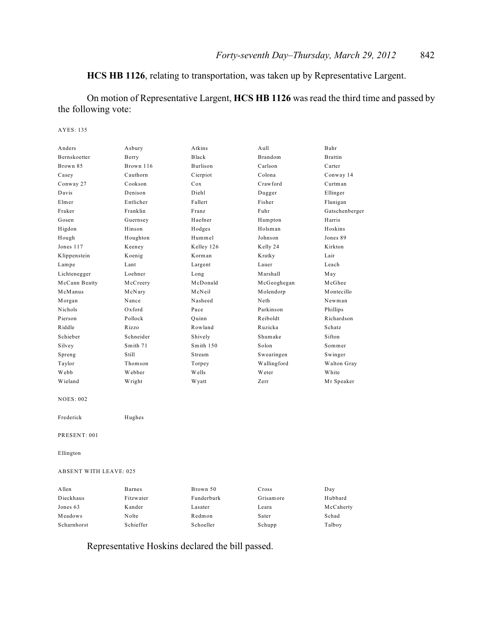# **HCS HB 1126**, relating to transportation, was taken up by Representative Largent.

On motion of Representative Largent, **HCS HB 1126** was read the third time and passed by the following vote:

#### AYES: 135

| Anders                        | Asbury        | Atkins          | Aull        | Bahr           |
|-------------------------------|---------------|-----------------|-------------|----------------|
| Bernskoetter                  | Berry         | Black           | Brandom     | <b>Brattin</b> |
| Brown 85                      | Brown 116     | Burlison        | Carlson     | Carter         |
| Casey                         | Cauthorn      | Cierpiot        | Colona      | Conway 14      |
| Conway 27                     | Cookson       | C <sub>ox</sub> | Crawford    | Curtman        |
| Davis                         | Denison       | Diehl           | Dugger      | Ellinger       |
| Elmer                         | Entlicher     | Fallert         | Fisher      | Flanigan       |
| Fraker                        | Franklin      | Franz           | Fuhr        | Gatschenberger |
| Gosen                         | Guernsey      | Haefner         | Hampton     | Harris         |
| Higdon                        | Hinson        | Hodges          | Holsman     | Hoskins        |
| Hough                         | Houghton      | Hummel          | Johnson     | Jones 89       |
| Jones 117                     | Keeney        | Kelley 126      | Kelly 24    | Kirkton        |
| Klippenstein                  | Koenig        | Korman          | Kratky      | Lair           |
| Lampe                         | Lant          | Largent         | Lauer       | Leach          |
| Lichtenegger                  | Loehner       | Long            | Marshall    | May            |
| McCann Beatty                 | McCreery      | McDonald        | McGeoghegan | McGhee         |
| McManus                       | McNary        | McNeil          | Molendorp   | Montecillo     |
| Morgan                        | Nance         | Nasheed         | Neth        | Newman         |
| Nichols                       | Oxford        | Pace            | Parkinson   | Phillips       |
| Pierson                       | Pollock       | Quinn           | Reiboldt    | Richardson     |
| Riddle                        | Rizzo         | Rowland         | Ruzicka     | Schatz         |
| Schieber                      | Schneider     | Shively         | Shumake     | Sifton         |
| Silvey                        | Smith 71      | Smith 150       | Solon       | Sommer         |
| Spreng                        | Still         | Stream          | Swearingen  | Swinger        |
| Taylor                        | Thomson       | Torpey          | Wallingford | Walton Gray    |
| Webb                          | Webber        | Wells           | Weter       | White          |
| Wieland                       | Wright        | W yatt          | Zerr        | Mr Speaker     |
| <b>NOES: 002</b>              |               |                 |             |                |
| Frederick                     | Hughes        |                 |             |                |
| PRESENT: 001                  |               |                 |             |                |
| Ellington                     |               |                 |             |                |
| <b>ABSENT WITH LEAVE: 025</b> |               |                 |             |                |
| Allen                         | <b>Barnes</b> | Brown 50        | Cross       | Day            |
| Dieckhaus                     | Fitzwater     | Funderburk      | Grisamore   | Hubbard        |
| Jones 63                      | Kander        | Lasater         | Leara       | McCaherty      |
| Meadows                       | Nolte         | Redmon          | Sater       | Schad          |
| Scharnhorst                   | Schieffer     | Schoeller       | Schupp      | Talboy         |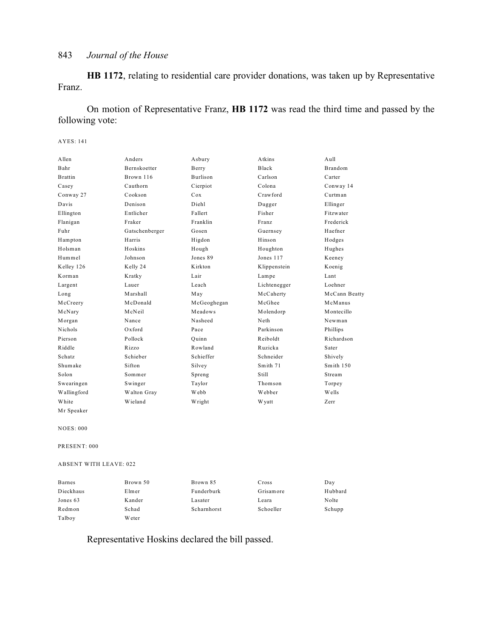**HB 1172**, relating to residential care provider donations, was taken up by Representative Franz.

On motion of Representative Franz, **HB 1172** was read the third time and passed by the following vote:

#### AYES: 141

| A llen         | Anders              | Asbury          | Atkins       | A <sub>u</sub> 11 |
|----------------|---------------------|-----------------|--------------|-------------------|
| Bahr           | <b>Bernskoetter</b> | Berry           | Black        | <b>Brandom</b>    |
| <b>Brattin</b> | Brown 116           | <b>Burlison</b> | Carlson      | Carter            |
| Casey          | Cauthorn            | Cierpiot        | Colona       | Conway 14         |
| Conway 27      | Cookson             | Cox             | Crawford     | Curtman           |
| Davis          | Denison             | Diehl           | Dugger       | Ellinger          |
| Ellington      | Entlicher           | Fallert         | Fisher       | Fitzwater         |
| Flanigan       | Fraker              | Franklin        | Franz        | Frederick         |
| Fuhr           | Gatschenberger      | Gosen           | Guernsey     | Haefner           |
| Hampton        | Harris              | Higdon          | Hinson       | Hodges            |
| Holsman        | Hoskins             | Hough           | Houghton     | Hughes            |
| Hummel         | Johnson             | Jones 89        | Jones 117    | Keeney            |
| Kelley 126     | Kelly 24            | Kirkton         | Klippenstein | Koenig            |
| Korman         | Kratky              | Lair            | Lampe        | Lant              |
| Largent        | Lauer               | Leach           | Lichtenegger | Loehner           |
| Long           | Marshall            | May             | McCaherty    | McCann Beatty     |
| McCreery       | McDonald            | McGeoghegan     | McGhee       | McManus           |
| McNary         | McNeil              | Meadows         | Molendorp    | Montecillo        |
| Morgan         | Nance               | Nasheed         | Neth         | Newman            |
| Nichols        | $Ox$ ford           | Pace            | Parkinson    | Phillips          |
| Pierson        | Pollock             | Ouinn           | Reiboldt     | Richardson        |
| Riddle         | Rizzo               | Rowland         | Ruzicka      | Sater             |
| Schatz         | Schieber            | Schieffer       | Schneider    | Shively           |
| Shumake        | Sifton              | Silvey          | Smith 71     | Smith $150$       |
| Solon          | Sommer              | Spreng          | Still        | Stream            |
| Swearingen     | Swinger             | Taylor          | Thomson      | Torpey            |
| Wallingford    | Walton Gray         | Webb            | Webber       | Wells             |
| White          | Wieland             | Wright          | W yatt       | Zerr              |
| Mr Speaker     |                     |                 |              |                   |

NOES: 000

PRESENT: 000

ABSENT WITH LEAVE: 022

| <b>Barnes</b> | Brown 50 | Brown 85    | Cross     | Day     |
|---------------|----------|-------------|-----------|---------|
| Dieckhaus     | Elmer    | Funderburk  | Grisamore | Hubbard |
| Jones 63      | Kander   | Lasater     | Leara     | Nolte   |
| Redmon        | Schad    | Scharnhorst | Schoeller | Schupp  |
| Talboy        | W eter   |             |           |         |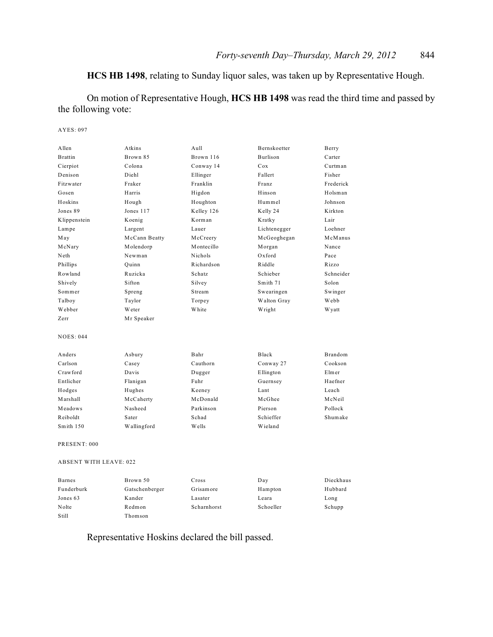# **HCS HB 1498**, relating to Sunday liquor sales, was taken up by Representative Hough.

On motion of Representative Hough, **HCS HB 1498** was read the third time and passed by the following vote:

AYES: 097

| Allen                         | Atkins        | Aull       | Bernskoetter    | Berry     |
|-------------------------------|---------------|------------|-----------------|-----------|
| <b>Brattin</b>                | Brown 85      | Brown 116  | <b>Burlison</b> | Carter    |
| Cierpiot                      | Colona        | Conway 14  | Cox             | Curtman   |
| Denison                       | Diehl         | Ellinger   | Fallert         | Fisher    |
| Fitzwater                     | Fraker        | Franklin   | Franz           | Frederick |
| Gosen                         | Harris        | Higdon     | Hinson          | Holsman   |
| Hoskins                       | Hough         | Houghton   | Hummel          | Johnson   |
| Jones 89                      | Jones 117     | Kelley 126 | Kelly 24        | Kirkton   |
| Klippenstein                  | Koenig        | Korman     | Kratky          | Lair      |
| Lampe                         | Largent       | Lauer      | Lichtenegger    | Loehner   |
| May                           | McCann Beatty | McCreery   | McGeoghegan     | McManus   |
| McNary                        | Molendorp     | Montecillo | Morgan          | Nance     |
| Neth                          | Newman        | Nichols    | Oxford          | Pace      |
| Phillips                      | Quinn         | Richardson | Riddle          | Rizzo     |
| Rowland                       | Ruzicka       | Schatz     | Schieber        | Schneider |
| Shively                       | Sifton        | Silvey     | Smith 71        | Solon     |
| Sommer                        | Spreng        | Stream     | Swearingen      | Swinger   |
| Talboy                        | Taylor        | Torpey     | Walton Gray     | Webb      |
| Webber                        | Weter         | White      | Wright          | W yatt    |
| Zerr                          | Mr Speaker    |            |                 |           |
| <b>NOES: 044</b>              |               |            |                 |           |
| Anders                        | Asbury        | Bahr       | Black           | Brandom   |
| Carlson                       | Casey         | Cauthorn   | Conway 27       | Cookson   |
| Crawford                      | Davis         | Dugger     | Ellington       | Elmer     |
| Entlicher                     | Flanigan      | Fuhr       | Guernsey        | Haefner   |
| Hodges                        | Hughes        | Keeney     | Lant            | Leach     |
| Marshall                      | McCaherty     | McDonald   | McGhee          | McNeil    |
| Meadows                       | Nasheed       | Parkinson  | Pierson         | Pollock   |
| Reiboldt                      | Sater         | Schad      | Schieffer       | Shumake   |
| Smith 150                     | Wallingford   | W ells     | Wieland         |           |
| PRESENT: 000                  |               |            |                 |           |
| <b>ABSENT WITH LEAVE: 022</b> |               |            |                 |           |
|                               |               |            |                 |           |

| <b>Barnes</b> | Brown 50       | Cross       | Day       | Dieckhaus |
|---------------|----------------|-------------|-----------|-----------|
| Funderburk    | Gatschenberger | Grisamore   | Hampton   | Hubbard   |
| Jones 63      | Kander         | Lasater     | Leara     | Long      |
| Nolte         | Redmon         | Scharnhorst | Schoeller | Schupp    |
| Still         | Thomson        |             |           |           |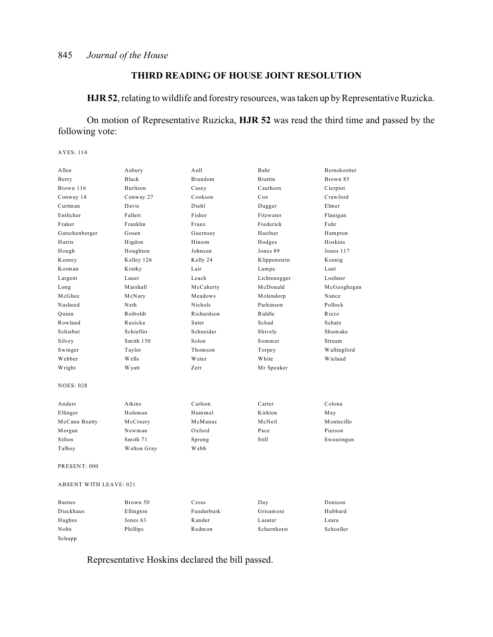# **THIRD READING OF HOUSE JOINT RESOLUTION**

**HJR 52**, relating to wildlife and forestry resources, was taken up by Representative Ruzicka.

On motion of Representative Ruzicka, **HJR 52** was read the third time and passed by the following vote:

AYES: 114

| Allen                         | Asbury       | A <sub>u</sub> 11 | Bahr           | Bernskoetter  |
|-------------------------------|--------------|-------------------|----------------|---------------|
| Berry                         | Black        | <b>Brandom</b>    | <b>Brattin</b> | Brown 85      |
| Brown 116                     | Burlison     | Casey             | Cauthorn       | Cierpiot      |
| Conway 14                     | Conway 27    | Cookson           | Cox            | Crawford      |
| Curtman                       | Davis        | Diehl             | Dugger         | Elmer         |
| Entlicher                     | Fallert      | Fisher            | Fitzwater      | Flanigan      |
| Fraker                        | Franklin     | Franz             | Frederick      | Fuhr          |
| Gatschenberger                | Gosen        | Guernsey          | Haefner        | Hampton       |
| Harris                        | Higdon       | Hinson            | Hodges         | Hoskins       |
| Hough                         | Houghton     | Johnson           | Jones 89       | Jones 117     |
| Keeney                        | Kelley 126   | Kelly 24          | Klippenstein   | Koenig        |
| Korman                        | Kratky       | Lair              | Lampe          | Lant          |
| Largent                       | Lauer        | Leach             | Lichtenegger   | Loehner       |
| Long                          | Marshall     | McCaherty         | McDonald       | McGeoghegan   |
| McGhee                        | McNary       | Meadows           | Molendorp      | Nance         |
| Nasheed                       | Neth         | Nichols           | Parkinson      | Pollock       |
| Quinn                         | Reiboldt     | Richardson        | Riddle         | Rizzo         |
| Rowland                       | Ruzicka      | Sater             | Schad          | <b>Schatz</b> |
| Schieber                      | Schieffer    | Schneider         | Shively        | Shumake       |
| Silvey                        | Smith 150    | Solon             | Sommer         | Stream        |
| Swinger                       | Taylor       | Thomson           | Torpey         | Wallingford   |
| Webber                        | Wells        | Weter             | White          | Wieland       |
| Wright                        | <b>Wyatt</b> | Zerr              | Mr Speaker     |               |
| <b>NOES: 028</b>              |              |                   |                |               |
| Anders                        | Atkins       | Carlson           | Carter         | Colona        |
| Ellinger                      | Holsman      | Hummel            | Kirkton        | May           |
| McCann Beatty                 | McCreery     | McManus           | McNeil         | Montecillo    |
| Morgan                        | Newman       | Oxford            | Pace           | Pierson       |
| Sifton                        | Smith 71     | Spreng            | Still          | Swearingen    |
| Talboy                        | Walton Gray  | Webb              |                |               |
| PRESENT: 000                  |              |                   |                |               |
| <b>ABSENT WITH LEAVE: 021</b> |              |                   |                |               |

| <b>Barnes</b> | Brown 50  | Cross      | Day         | Denison   |
|---------------|-----------|------------|-------------|-----------|
| Dieckhaus     | Ellington | Funderburk | Grisamore   | Hubbard   |
| Hughes        | Jones 63  | Kander     | Lasater     | Leara     |
| Nolte         | Phillips  | Redmon     | Scharnhorst | Schoeller |
| Schupp        |           |            |             |           |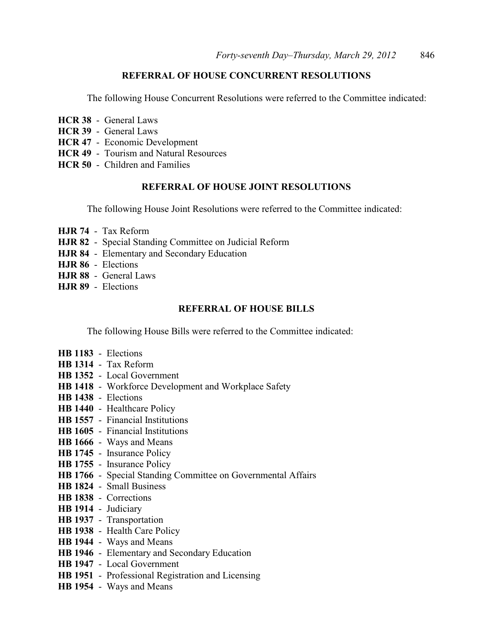### **REFERRAL OF HOUSE CONCURRENT RESOLUTIONS**

The following House Concurrent Resolutions were referred to the Committee indicated:

- **HCR 38** General Laws
- **HCR 39** General Laws
- **HCR 47** Economic Development
- **HCR 49** Tourism and Natural Resources
- **HCR 50** Children and Families

### **REFERRAL OF HOUSE JOINT RESOLUTIONS**

The following House Joint Resolutions were referred to the Committee indicated:

- **HJR 74** Tax Reform
- **HJR 82** Special Standing Committee on Judicial Reform
- **HJR 84** Elementary and Secondary Education
- **HJR 86** Elections
- **HJR 88** General Laws
- **HJR 89** Elections

#### **REFERRAL OF HOUSE BILLS**

The following House Bills were referred to the Committee indicated:

- **HB 1183** Elections
- **HB 1314** Tax Reform
- **HB 1352** Local Government
- **HB 1418** Workforce Development and Workplace Safety
- **HB 1438** Elections
- **HB 1440** Healthcare Policy
- **HB 1557** Financial Institutions
- **HB 1605** Financial Institutions
- **HB 1666** Ways and Means
- **HB 1745** Insurance Policy
- **HB 1755** Insurance Policy
- **HB 1766** Special Standing Committee on Governmental Affairs
- **HB 1824** Small Business
- **HB 1838** Corrections
- **HB 1914** Judiciary
- **HB 1937** Transportation
- **HB 1938** Health Care Policy
- **HB 1944** Ways and Means
- **HB 1946** Elementary and Secondary Education
- **HB 1947** Local Government
- **HB 1951** Professional Registration and Licensing
- **HB 1954** Ways and Means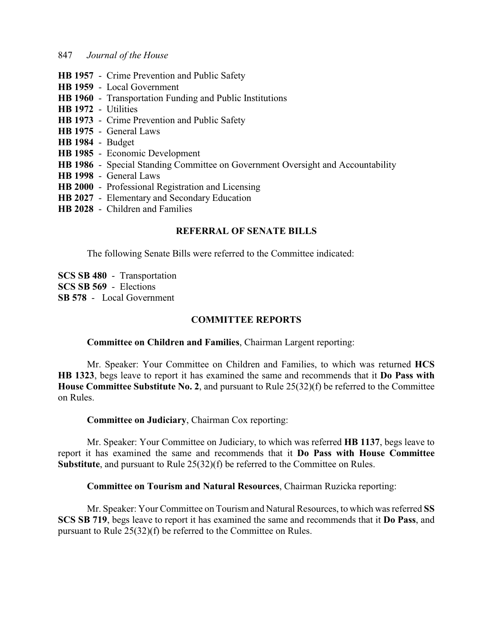- **HB 1957** Crime Prevention and Public Safety
- **HB 1959** Local Government
- **HB 1960** Transportation Funding and Public Institutions
- **HB 1972** Utilities
- **HB 1973** Crime Prevention and Public Safety
- **HB 1975** General Laws
- **HB 1984** Budget
- **HB 1985** Economic Development
- **HB 1986** Special Standing Committee on Government Oversight and Accountability
- **HB 1998** General Laws
- **HB 2000** Professional Registration and Licensing
- **HB 2027** Elementary and Secondary Education
- **HB 2028** Children and Families

### **REFERRAL OF SENATE BILLS**

The following Senate Bills were referred to the Committee indicated:

**SCS SB 480** - Transportation **SCS SB 569** - Elections **SB 578** - Local Government

### **COMMITTEE REPORTS**

#### **Committee on Children and Families**, Chairman Largent reporting:

Mr. Speaker: Your Committee on Children and Families, to which was returned **HCS HB 1323**, begs leave to report it has examined the same and recommends that it **Do Pass with House Committee Substitute No. 2**, and pursuant to Rule 25(32)(f) be referred to the Committee on Rules.

**Committee on Judiciary**, Chairman Cox reporting:

Mr. Speaker: Your Committee on Judiciary, to which was referred **HB 1137**, begs leave to report it has examined the same and recommends that it **Do Pass with House Committee Substitute**, and pursuant to Rule 25(32)(f) be referred to the Committee on Rules.

#### **Committee on Tourism and Natural Resources**, Chairman Ruzicka reporting:

Mr. Speaker: Your Committee on Tourism and Natural Resources, to which was referred **SS SCS SB 719**, begs leave to report it has examined the same and recommends that it **Do Pass**, and pursuant to Rule 25(32)(f) be referred to the Committee on Rules.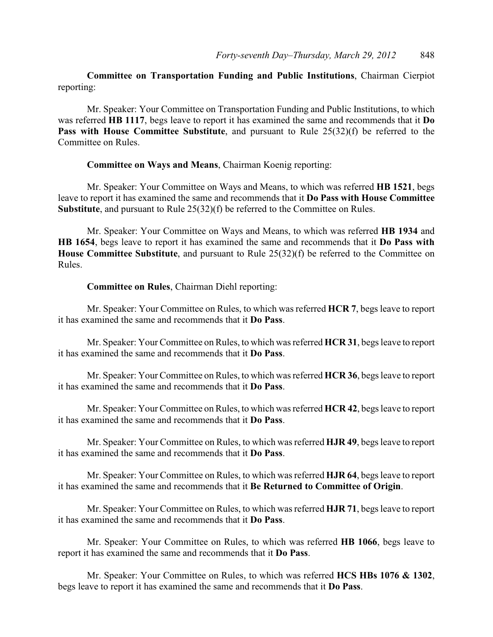**Committee on Transportation Funding and Public Institutions**, Chairman Cierpiot reporting:

Mr. Speaker: Your Committee on Transportation Funding and Public Institutions, to which was referred **HB 1117**, begs leave to report it has examined the same and recommends that it **Do Pass with House Committee Substitute**, and pursuant to Rule 25(32)(f) be referred to the Committee on Rules.

#### **Committee on Ways and Means**, Chairman Koenig reporting:

Mr. Speaker: Your Committee on Ways and Means, to which was referred **HB 1521**, begs leave to report it has examined the same and recommends that it **Do Pass with House Committee Substitute**, and pursuant to Rule 25(32)(f) be referred to the Committee on Rules.

Mr. Speaker: Your Committee on Ways and Means, to which was referred **HB 1934** and **HB 1654**, begs leave to report it has examined the same and recommends that it **Do Pass with House Committee Substitute**, and pursuant to Rule 25(32)(f) be referred to the Committee on Rules.

#### **Committee on Rules**, Chairman Diehl reporting:

Mr. Speaker: Your Committee on Rules, to which was referred **HCR 7**, begs leave to report it has examined the same and recommends that it **Do Pass**.

Mr. Speaker: Your Committee on Rules, to which was referred **HCR 31**, begs leave to report it has examined the same and recommends that it **Do Pass**.

Mr. Speaker: Your Committee on Rules, to which was referred **HCR 36**, begs leave to report it has examined the same and recommends that it **Do Pass**.

Mr. Speaker: Your Committee on Rules, to which was referred **HCR 42**, begs leave to report it has examined the same and recommends that it **Do Pass**.

Mr. Speaker: Your Committee on Rules, to which was referred **HJR 49**, begs leave to report it has examined the same and recommends that it **Do Pass**.

Mr. Speaker: Your Committee on Rules, to which was referred **HJR 64**, begs leave to report it has examined the same and recommends that it **Be Returned to Committee of Origin**.

Mr. Speaker: Your Committee on Rules, to which was referred **HJR 71**, begs leave to report it has examined the same and recommends that it **Do Pass**.

Mr. Speaker: Your Committee on Rules, to which was referred **HB 1066**, begs leave to report it has examined the same and recommends that it **Do Pass**.

Mr. Speaker: Your Committee on Rules, to which was referred **HCS HBs 1076 & 1302**, begs leave to report it has examined the same and recommends that it **Do Pass**.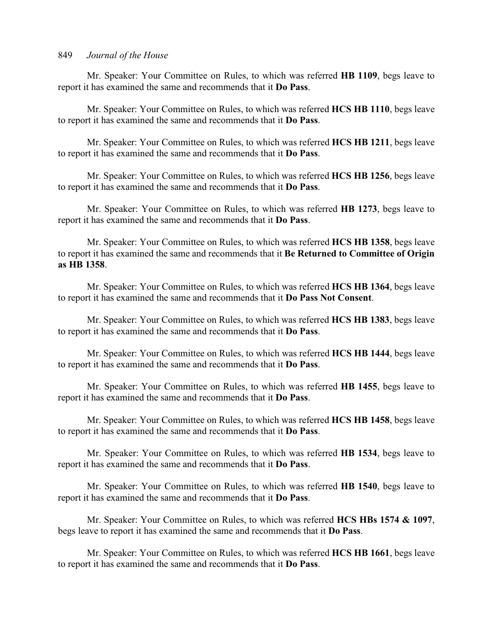Mr. Speaker: Your Committee on Rules, to which was referred **HB 1109**, begs leave to report it has examined the same and recommends that it **Do Pass**.

Mr. Speaker: Your Committee on Rules, to which was referred **HCS HB 1110**, begs leave to report it has examined the same and recommends that it **Do Pass**.

Mr. Speaker: Your Committee on Rules, to which was referred **HCS HB 1211**, begs leave to report it has examined the same and recommends that it **Do Pass**.

Mr. Speaker: Your Committee on Rules, to which was referred **HCS HB 1256**, begs leave to report it has examined the same and recommends that it **Do Pass**.

Mr. Speaker: Your Committee on Rules, to which was referred **HB 1273**, begs leave to report it has examined the same and recommends that it **Do Pass**.

Mr. Speaker: Your Committee on Rules, to which was referred **HCS HB 1358**, begs leave to report it has examined the same and recommends that it **Be Returned to Committee of Origin as HB 1358**.

Mr. Speaker: Your Committee on Rules, to which was referred **HCS HB 1364**, begs leave to report it has examined the same and recommends that it **Do Pass Not Consent**.

Mr. Speaker: Your Committee on Rules, to which was referred **HCS HB 1383**, begs leave to report it has examined the same and recommends that it **Do Pass**.

Mr. Speaker: Your Committee on Rules, to which was referred **HCS HB 1444**, begs leave to report it has examined the same and recommends that it **Do Pass**.

Mr. Speaker: Your Committee on Rules, to which was referred **HB 1455**, begs leave to report it has examined the same and recommends that it **Do Pass**.

Mr. Speaker: Your Committee on Rules, to which was referred **HCS HB 1458**, begs leave to report it has examined the same and recommends that it **Do Pass**.

Mr. Speaker: Your Committee on Rules, to which was referred **HB 1534**, begs leave to report it has examined the same and recommends that it **Do Pass**.

Mr. Speaker: Your Committee on Rules, to which was referred **HB 1540**, begs leave to report it has examined the same and recommends that it **Do Pass**.

Mr. Speaker: Your Committee on Rules, to which was referred **HCS HBs 1574 & 1097**, begs leave to report it has examined the same and recommends that it **Do Pass**.

Mr. Speaker: Your Committee on Rules, to which was referred **HCS HB 1661**, begs leave to report it has examined the same and recommends that it **Do Pass**.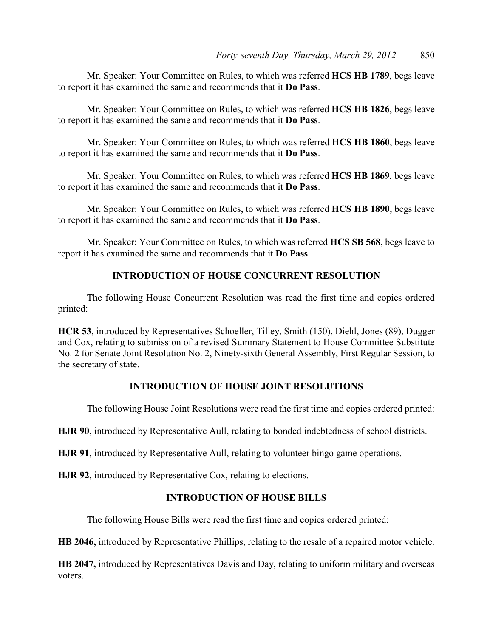Mr. Speaker: Your Committee on Rules, to which was referred **HCS HB 1789**, begs leave to report it has examined the same and recommends that it **Do Pass**.

Mr. Speaker: Your Committee on Rules, to which was referred **HCS HB 1826**, begs leave to report it has examined the same and recommends that it **Do Pass**.

Mr. Speaker: Your Committee on Rules, to which was referred **HCS HB 1860**, begs leave to report it has examined the same and recommends that it **Do Pass**.

Mr. Speaker: Your Committee on Rules, to which was referred **HCS HB 1869**, begs leave to report it has examined the same and recommends that it **Do Pass**.

Mr. Speaker: Your Committee on Rules, to which was referred **HCS HB 1890**, begs leave to report it has examined the same and recommends that it **Do Pass**.

Mr. Speaker: Your Committee on Rules, to which was referred **HCS SB 568**, begs leave to report it has examined the same and recommends that it **Do Pass**.

### **INTRODUCTION OF HOUSE CONCURRENT RESOLUTION**

The following House Concurrent Resolution was read the first time and copies ordered printed:

**HCR 53**, introduced by Representatives Schoeller, Tilley, Smith (150), Diehl, Jones (89), Dugger and Cox, relating to submission of a revised Summary Statement to House Committee Substitute No. 2 for Senate Joint Resolution No. 2, Ninety-sixth General Assembly, First Regular Session, to the secretary of state.

### **INTRODUCTION OF HOUSE JOINT RESOLUTIONS**

The following House Joint Resolutions were read the first time and copies ordered printed:

**HJR 90**, introduced by Representative Aull, relating to bonded indebtedness of school districts.

**HJR 91**, introduced by Representative Aull, relating to volunteer bingo game operations.

**HJR 92**, introduced by Representative Cox, relating to elections.

#### **INTRODUCTION OF HOUSE BILLS**

The following House Bills were read the first time and copies ordered printed:

**HB 2046,** introduced by Representative Phillips, relating to the resale of a repaired motor vehicle.

**HB 2047,** introduced by Representatives Davis and Day, relating to uniform military and overseas voters.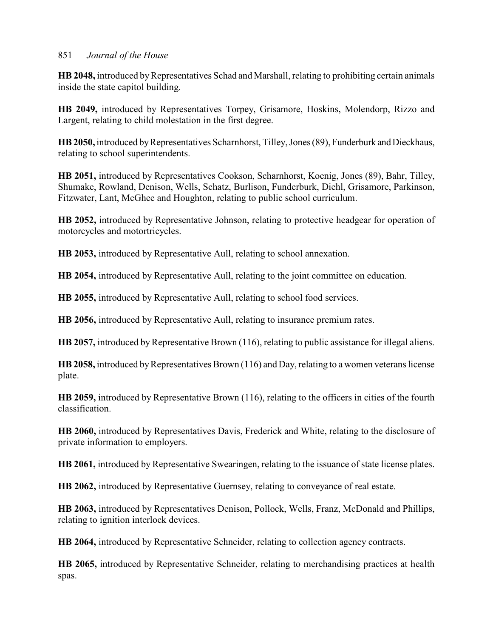**HB 2048,** introduced byRepresentatives Schad and Marshall,relating to prohibiting certain animals inside the state capitol building.

**HB 2049,** introduced by Representatives Torpey, Grisamore, Hoskins, Molendorp, Rizzo and Largent, relating to child molestation in the first degree.

**HB 2050,** introduced by Representatives Scharnhorst, Tilley, Jones (89), Funderburk and Dieckhaus, relating to school superintendents.

**HB 2051,** introduced by Representatives Cookson, Scharnhorst, Koenig, Jones (89), Bahr, Tilley, Shumake, Rowland, Denison, Wells, Schatz, Burlison, Funderburk, Diehl, Grisamore, Parkinson, Fitzwater, Lant, McGhee and Houghton, relating to public school curriculum.

**HB 2052,** introduced by Representative Johnson, relating to protective headgear for operation of motorcycles and motortricycles.

**HB 2053,** introduced by Representative Aull, relating to school annexation.

**HB 2054,** introduced by Representative Aull, relating to the joint committee on education.

**HB 2055,** introduced by Representative Aull, relating to school food services.

**HB 2056,** introduced by Representative Aull, relating to insurance premium rates.

**HB 2057,** introduced by Representative Brown (116), relating to public assistance for illegal aliens.

**HB 2058,** introduced by Representatives Brown (116) and Day, relating to a women veterans license plate.

**HB 2059,** introduced by Representative Brown (116), relating to the officers in cities of the fourth classification.

**HB 2060,** introduced by Representatives Davis, Frederick and White, relating to the disclosure of private information to employers.

**HB 2061,** introduced by Representative Swearingen, relating to the issuance of state license plates.

**HB 2062,** introduced by Representative Guernsey, relating to conveyance of real estate.

**HB 2063,** introduced by Representatives Denison, Pollock, Wells, Franz, McDonald and Phillips, relating to ignition interlock devices.

**HB 2064,** introduced by Representative Schneider, relating to collection agency contracts.

**HB 2065,** introduced by Representative Schneider, relating to merchandising practices at health spas.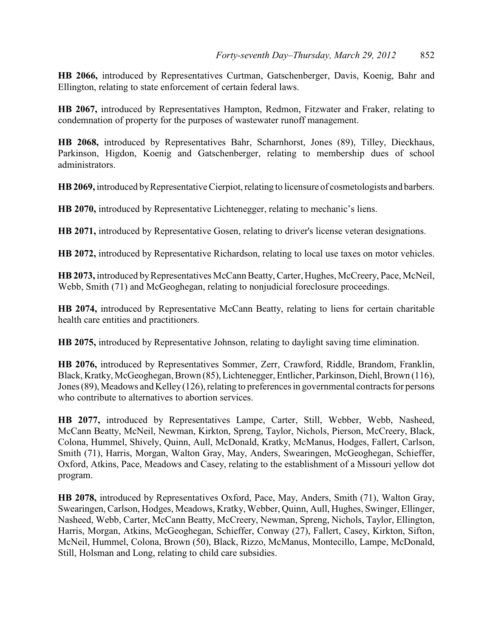**HB 2066,** introduced by Representatives Curtman, Gatschenberger, Davis, Koenig, Bahr and Ellington, relating to state enforcement of certain federal laws.

**HB 2067,** introduced by Representatives Hampton, Redmon, Fitzwater and Fraker, relating to condemnation of property for the purposes of wastewater runoff management.

**HB 2068,** introduced by Representatives Bahr, Scharnhorst, Jones (89), Tilley, Dieckhaus, Parkinson, Higdon, Koenig and Gatschenberger, relating to membership dues of school administrators.

**HB 2069,** introduced by Representative Cierpiot, relating to licensure of cosmetologists and barbers.

**HB 2070,** introduced by Representative Lichtenegger, relating to mechanic's liens.

**HB 2071,** introduced by Representative Gosen, relating to driver's license veteran designations.

**HB 2072,** introduced by Representative Richardson, relating to local use taxes on motor vehicles.

**HB 2073,** introduced by Representatives McCann Beatty, Carter, Hughes, McCreery, Pace, McNeil, Webb, Smith (71) and McGeoghegan, relating to nonjudicial foreclosure proceedings.

**HB 2074,** introduced by Representative McCann Beatty, relating to liens for certain charitable health care entities and practitioners.

**HB 2075,** introduced by Representative Johnson, relating to daylight saving time elimination.

**HB 2076,** introduced by Representatives Sommer, Zerr, Crawford, Riddle, Brandom, Franklin, Black, Kratky, McGeoghegan, Brown (85), Lichtenegger, Entlicher, Parkinson, Diehl, Brown (116), Jones (89), Meadows and Kelley (126), relating to preferences in governmental contracts for persons who contribute to alternatives to abortion services.

**HB 2077,** introduced by Representatives Lampe, Carter, Still, Webber, Webb, Nasheed, McCann Beatty, McNeil, Newman, Kirkton, Spreng, Taylor, Nichols, Pierson, McCreery, Black, Colona, Hummel, Shively, Quinn, Aull, McDonald, Kratky, McManus, Hodges, Fallert, Carlson, Smith (71), Harris, Morgan, Walton Gray, May, Anders, Swearingen, McGeoghegan, Schieffer, Oxford, Atkins, Pace, Meadows and Casey, relating to the establishment of a Missouri yellow dot program.

**HB 2078,** introduced by Representatives Oxford, Pace, May, Anders, Smith (71), Walton Gray, Swearingen, Carlson, Hodges, Meadows, Kratky, Webber, Quinn, Aull, Hughes, Swinger, Ellinger, Nasheed, Webb, Carter, McCann Beatty, McCreery, Newman, Spreng, Nichols, Taylor, Ellington, Harris, Morgan, Atkins, McGeoghegan, Schieffer, Conway (27), Fallert, Casey, Kirkton, Sifton, McNeil, Hummel, Colona, Brown (50), Black, Rizzo, McManus, Montecillo, Lampe, McDonald, Still, Holsman and Long, relating to child care subsidies.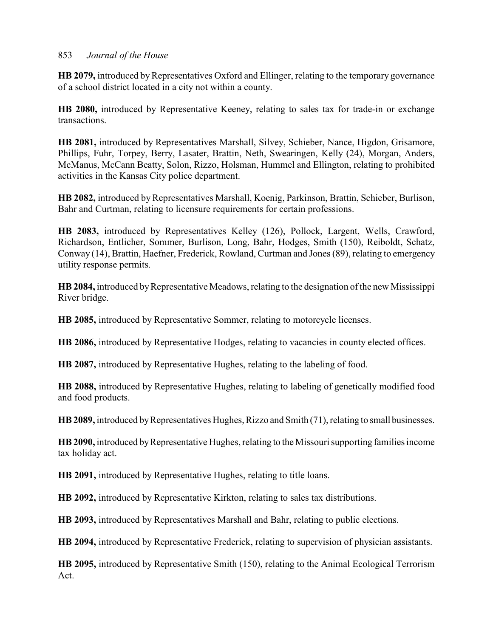**HB 2079,** introduced by Representatives Oxford and Ellinger, relating to the temporary governance of a school district located in a city not within a county.

**HB 2080,** introduced by Representative Keeney, relating to sales tax for trade-in or exchange transactions.

**HB 2081,** introduced by Representatives Marshall, Silvey, Schieber, Nance, Higdon, Grisamore, Phillips, Fuhr, Torpey, Berry, Lasater, Brattin, Neth, Swearingen, Kelly (24), Morgan, Anders, McManus, McCann Beatty, Solon, Rizzo, Holsman, Hummel and Ellington, relating to prohibited activities in the Kansas City police department.

**HB 2082,** introduced byRepresentatives Marshall, Koenig, Parkinson, Brattin, Schieber, Burlison, Bahr and Curtman, relating to licensure requirements for certain professions.

**HB 2083,** introduced by Representatives Kelley (126), Pollock, Largent, Wells, Crawford, Richardson, Entlicher, Sommer, Burlison, Long, Bahr, Hodges, Smith (150), Reiboldt, Schatz, Conway (14), Brattin, Haefner, Frederick, Rowland, Curtman and Jones (89), relating to emergency utility response permits.

**HB 2084,** introduced by Representative Meadows, relating to the designation of the new Mississippi River bridge.

**HB 2085,** introduced by Representative Sommer, relating to motorcycle licenses.

**HB 2086,** introduced by Representative Hodges, relating to vacancies in county elected offices.

**HB 2087,** introduced by Representative Hughes, relating to the labeling of food.

**HB 2088,** introduced by Representative Hughes, relating to labeling of genetically modified food and food products.

**HB 2089,** introduced by Representatives Hughes, Rizzo and Smith (71), relating to small businesses.

**HB 2090,** introduced by Representative Hughes, relating to the Missouri supporting families income tax holiday act.

**HB 2091,** introduced by Representative Hughes, relating to title loans.

**HB 2092,** introduced by Representative Kirkton, relating to sales tax distributions.

**HB 2093,** introduced by Representatives Marshall and Bahr, relating to public elections.

**HB 2094,** introduced by Representative Frederick, relating to supervision of physician assistants.

**HB 2095,** introduced by Representative Smith (150), relating to the Animal Ecological Terrorism Act.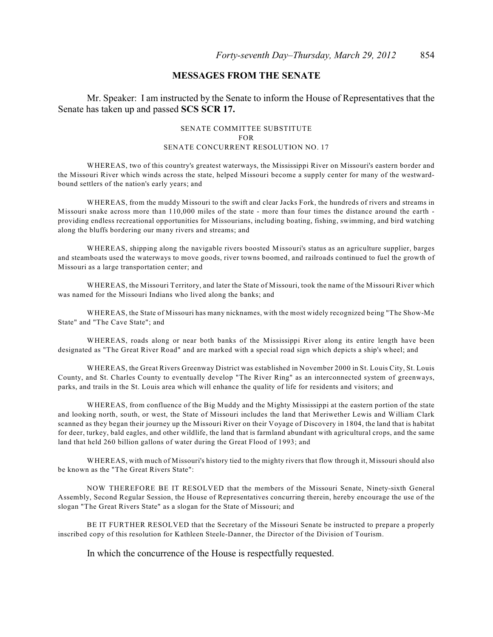### **MESSAGES FROM THE SENATE**

Mr. Speaker: I am instructed by the Senate to inform the House of Representatives that the Senate has taken up and passed **SCS SCR 17.**

#### SENATE COMMITTEE SUBSTITUTE FOR SENATE CONCURRENT RESOLUTION NO. 17

WHEREAS, two of this country's greatest waterways, the Mississippi River on Missouri's eastern border and the Missouri River which winds across the state, helped Missouri become a supply center for many of the westwardbound settlers of the nation's early years; and

WHEREAS, from the muddy Missouri to the swift and clear Jacks Fork, the hundreds of rivers and streams in Missouri snake across more than 110,000 miles of the state - more than four times the distance around the earth providing endless recreational opportunities for Missourians, including boating, fishing, swimming, and bird watching along the bluffs bordering our many rivers and streams; and

WHEREAS, shipping along the navigable rivers boosted Missouri's status as an agriculture supplier, barges and steamboats used the waterways to move goods, river towns boomed, and railroads continued to fuel the growth of Missouri as a large transportation center; and

WHEREAS, the Missouri Territory, and later the State of Missouri, took the name of the Missouri River which was named for the Missouri Indians who lived along the banks; and

WHEREAS, the State of Missouri has many nicknames, with the most widely recognized being "The Show-Me State" and "The Cave State"; and

WHEREAS, roads along or near both banks of the Mississippi River along its entire length have been designated as "The Great River Road" and are marked with a special road sign which depicts a ship's wheel; and

WHEREAS, the Great Rivers Greenway District was established in November 2000 in St. Louis City, St. Louis County, and St. Charles County to eventually develop "The River Ring" as an interconnected system of greenways, parks, and trails in the St. Louis area which will enhance the quality of life for residents and visitors; and

WHEREAS, from confluence of the Big Muddy and the Mighty Mississippi at the eastern portion of the state and looking north, south, or west, the State of Missouri includes the land that Meriwether Lewis and William Clark scanned as they began their journey up the Missouri River on their Voyage of Discovery in 1804, the land that is habitat for deer, turkey, bald eagles, and other wildlife, the land that is farmland abundant with agricultural crops, and the same land that held 260 billion gallons of water during the Great Flood of 1993; and

WHEREAS, with much of Missouri's history tied to the mighty rivers that flow through it, Missouri should also be known as the "The Great Rivers State":

NOW THEREFORE BE IT RESOLVED that the members of the Missouri Senate, Ninety-sixth General Assembly, Second Regular Session, the House of Representatives concurring therein, hereby encourage the use of the slogan "The Great Rivers State" as a slogan for the State of Missouri; and

BE IT FURTHER RESOLVED that the Secretary of the Missouri Senate be instructed to prepare a properly inscribed copy of this resolution for Kathleen Steele-Danner, the Director of the Division of Tourism.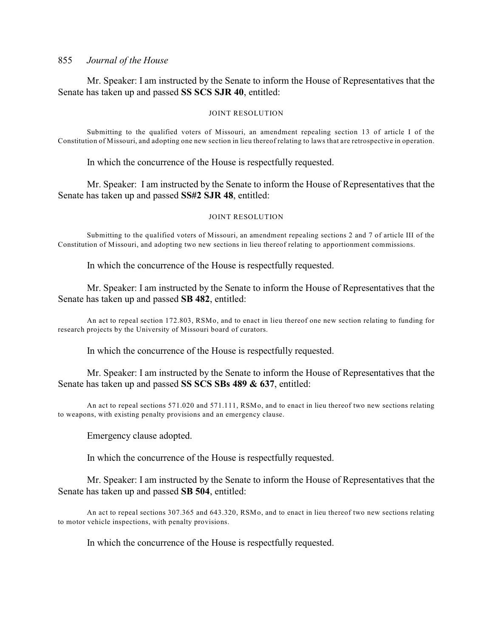Mr. Speaker: I am instructed by the Senate to inform the House of Representatives that the Senate has taken up and passed **SS SCS SJR 40**, entitled:

#### JOINT RESOLUTION

Submitting to the qualified voters of Missouri, an amendment repealing section 13 of article I of the Constitution of Missouri, and adopting one new section in lieu thereof relating to laws that are retrospective in operation.

In which the concurrence of the House is respectfully requested.

Mr. Speaker: I am instructed by the Senate to inform the House of Representatives that the Senate has taken up and passed **SS#2 SJR 48**, entitled:

#### JOINT RESOLUTION

Submitting to the qualified voters of Missouri, an amendment repealing sections 2 and 7 of article III of the Constitution of Missouri, and adopting two new sections in lieu thereof relating to apportionment commissions.

In which the concurrence of the House is respectfully requested.

Mr. Speaker: I am instructed by the Senate to inform the House of Representatives that the Senate has taken up and passed **SB 482**, entitled:

An act to repeal section 172.803, RSMo, and to enact in lieu thereof one new section relating to funding for research projects by the University of Missouri board of curators.

In which the concurrence of the House is respectfully requested.

Mr. Speaker: I am instructed by the Senate to inform the House of Representatives that the Senate has taken up and passed **SS SCS SBs 489 & 637**, entitled:

An act to repeal sections 571.020 and 571.111, RSMo, and to enact in lieu thereof two new sections relating to weapons, with existing penalty provisions and an emergency clause.

Emergency clause adopted.

In which the concurrence of the House is respectfully requested.

Mr. Speaker: I am instructed by the Senate to inform the House of Representatives that the Senate has taken up and passed **SB 504**, entitled:

An act to repeal sections 307.365 and 643.320, RSMo, and to enact in lieu thereof two new sections relating to motor vehicle inspections, with penalty provisions.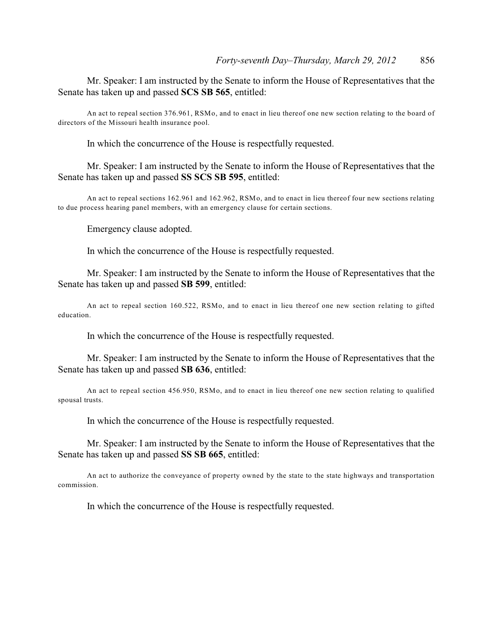Mr. Speaker: I am instructed by the Senate to inform the House of Representatives that the Senate has taken up and passed **SCS SB 565**, entitled:

An act to repeal section 376.961, RSMo, and to enact in lieu thereof one new section relating to the board of directors of the Missouri health insurance pool.

In which the concurrence of the House is respectfully requested.

Mr. Speaker: I am instructed by the Senate to inform the House of Representatives that the Senate has taken up and passed **SS SCS SB 595**, entitled:

An act to repeal sections 162.961 and 162.962, RSMo, and to enact in lieu thereof four new sections relating to due process hearing panel members, with an emergency clause for certain sections.

Emergency clause adopted.

In which the concurrence of the House is respectfully requested.

Mr. Speaker: I am instructed by the Senate to inform the House of Representatives that the Senate has taken up and passed **SB 599**, entitled:

An act to repeal section 160.522, RSMo, and to enact in lieu thereof one new section relating to gifted education.

In which the concurrence of the House is respectfully requested.

Mr. Speaker: I am instructed by the Senate to inform the House of Representatives that the Senate has taken up and passed **SB 636**, entitled:

An act to repeal section 456.950, RSMo, and to enact in lieu thereof one new section relating to qualified spousal trusts.

In which the concurrence of the House is respectfully requested.

Mr. Speaker: I am instructed by the Senate to inform the House of Representatives that the Senate has taken up and passed **SS SB 665**, entitled:

An act to authorize the conveyance of property owned by the state to the state highways and transportation commission.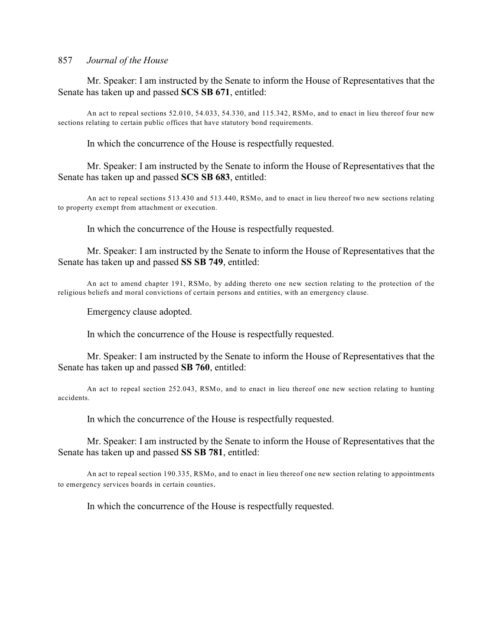Mr. Speaker: I am instructed by the Senate to inform the House of Representatives that the Senate has taken up and passed **SCS SB 671**, entitled:

An act to repeal sections 52.010, 54.033, 54.330, and 115.342, RSMo, and to enact in lieu thereof four new sections relating to certain public offices that have statutory bond requirements.

In which the concurrence of the House is respectfully requested.

Mr. Speaker: I am instructed by the Senate to inform the House of Representatives that the Senate has taken up and passed **SCS SB 683**, entitled:

An act to repeal sections 513.430 and 513.440, RSMo, and to enact in lieu thereof two new sections relating to property exempt from attachment or execution.

In which the concurrence of the House is respectfully requested.

Mr. Speaker: I am instructed by the Senate to inform the House of Representatives that the Senate has taken up and passed **SS SB 749**, entitled:

An act to amend chapter 191, RSMo, by adding thereto one new section relating to the protection of the religious beliefs and moral convictions of certain persons and entities, with an emergency clause.

Emergency clause adopted.

In which the concurrence of the House is respectfully requested.

Mr. Speaker: I am instructed by the Senate to inform the House of Representatives that the Senate has taken up and passed **SB 760**, entitled:

An act to repeal section 252.043, RSMo, and to enact in lieu thereof one new section relating to hunting accidents.

In which the concurrence of the House is respectfully requested.

Mr. Speaker: I am instructed by the Senate to inform the House of Representatives that the Senate has taken up and passed **SS SB 781**, entitled:

An act to repeal section 190.335, RSMo, and to enact in lieu thereof one new section relating to appointments to emergency services boards in certain counties.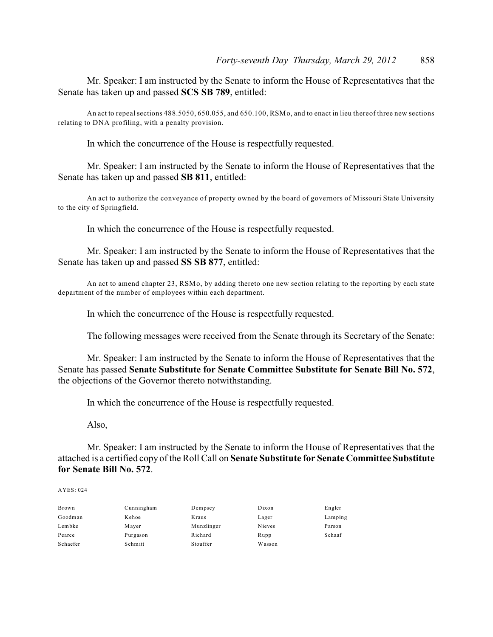Mr. Speaker: I am instructed by the Senate to inform the House of Representatives that the Senate has taken up and passed **SCS SB 789**, entitled:

An act to repeal sections 488.5050, 650.055, and 650.100, RSMo, and to enact in lieu thereof three new sections relating to DNA profiling, with a penalty provision.

In which the concurrence of the House is respectfully requested.

Mr. Speaker: I am instructed by the Senate to inform the House of Representatives that the Senate has taken up and passed **SB 811**, entitled:

An act to authorize the conveyance of property owned by the board of governors of Missouri State University to the city of Springfield.

In which the concurrence of the House is respectfully requested.

Mr. Speaker: I am instructed by the Senate to inform the House of Representatives that the Senate has taken up and passed **SS SB 877**, entitled:

An act to amend chapter 23, RSMo, by adding thereto one new section relating to the reporting by each state department of the number of employees within each department.

In which the concurrence of the House is respectfully requested.

The following messages were received from the Senate through its Secretary of the Senate:

Mr. Speaker: I am instructed by the Senate to inform the House of Representatives that the Senate has passed **Senate Substitute for Senate Committee Substitute for Senate Bill No. 572**, the objections of the Governor thereto notwithstanding.

In which the concurrence of the House is respectfully requested.

Also,

Mr. Speaker: I am instructed by the Senate to inform the House of Representatives that the attached is a certified copy of the Roll Call on **Senate Substitute for Senate Committee Substitute for Senate Bill No. 572**.

| Brown    | Cunningham | Dempsey    | Dixon  | Engler  |
|----------|------------|------------|--------|---------|
| Goodman  | Kehoe      | Kraus      | Lager  | Lamping |
| Lembke   | Mayer      | Munzlinger | Nieves | Parson  |
| Pearce   | Purgason   | Richard    | Rupp   | Schaaf  |
| Schaefer | Schmitt    | Stouffer   | Wasson |         |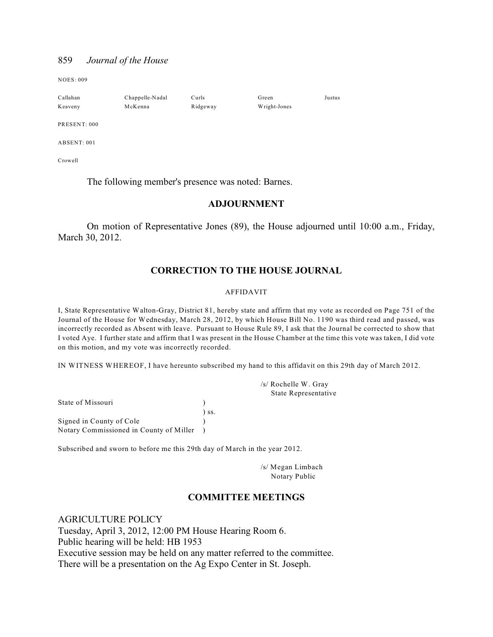NOES: 009

| Callahan     | Chappelle-Nadal | Curls    | Green        | Justus |
|--------------|-----------------|----------|--------------|--------|
| Keaveny      | McKenna         | Ridgeway | Wright-Jones |        |
| PRESENT: 000 |                 |          |              |        |

ABSENT: 001

Crowell

The following member's presence was noted: Barnes.

#### **ADJOURNMENT**

On motion of Representative Jones (89), the House adjourned until 10:00 a.m., Friday, March 30, 2012.

### **CORRECTION TO THE HOUSE JOURNAL**

#### AFFIDAVIT

I, State Representative Walton-Gray, District 81, hereby state and affirm that my vote as recorded on Page 751 of the Journal of the House for Wednesday, March 28, 2012, by which House Bill No. 1190 was third read and passed, was incorrectly recorded as Absent with leave. Pursuant to House Rule 89, I ask that the Journal be corrected to show that I voted Aye. I further state and affirm that I was present in the House Chamber at the time this vote was taken, I did vote on this motion, and my vote was incorrectly recorded.

IN WITNESS WHEREOF, I have hereunto subscribed my hand to this affidavit on this 29th day of March 2012.

State of Missouri (1) ) ss. Signed in County of Cole  $\qquad \qquad$ ) Notary Commissioned in County of Miller )

Subscribed and sworn to before me this 29th day of March in the year 2012.

/s/ Megan Limbach Notary Public

/s/ Rochelle W. Gray State Representative

#### **COMMITTEE MEETINGS**

AGRICULTURE POLICY Tuesday, April 3, 2012, 12:00 PM House Hearing Room 6. Public hearing will be held: HB 1953 Executive session may be held on any matter referred to the committee. There will be a presentation on the Ag Expo Center in St. Joseph.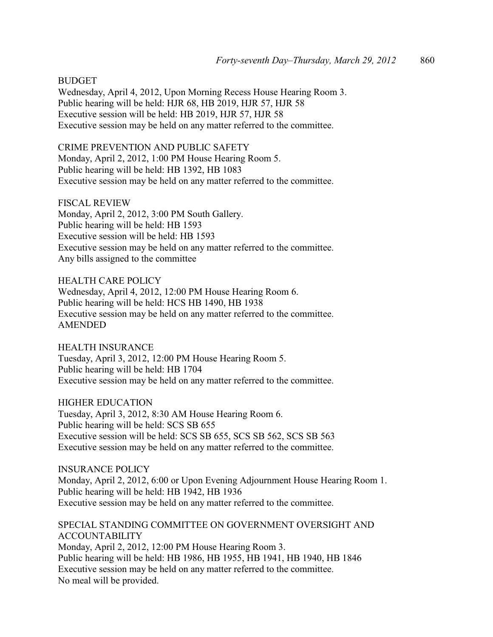BUDGET Wednesday, April 4, 2012, Upon Morning Recess House Hearing Room 3. Public hearing will be held: HJR 68, HB 2019, HJR 57, HJR 58 Executive session will be held: HB 2019, HJR 57, HJR 58 Executive session may be held on any matter referred to the committee.

CRIME PREVENTION AND PUBLIC SAFETY Monday, April 2, 2012, 1:00 PM House Hearing Room 5. Public hearing will be held: HB 1392, HB 1083 Executive session may be held on any matter referred to the committee.

FISCAL REVIEW Monday, April 2, 2012, 3:00 PM South Gallery. Public hearing will be held: HB 1593 Executive session will be held: HB 1593 Executive session may be held on any matter referred to the committee. Any bills assigned to the committee

HEALTH CARE POLICY Wednesday, April 4, 2012, 12:00 PM House Hearing Room 6. Public hearing will be held: HCS HB 1490, HB 1938 Executive session may be held on any matter referred to the committee. AMENDED

HEALTH INSURANCE Tuesday, April 3, 2012, 12:00 PM House Hearing Room 5. Public hearing will be held: HB 1704 Executive session may be held on any matter referred to the committee.

HIGHER EDUCATION Tuesday, April 3, 2012, 8:30 AM House Hearing Room 6. Public hearing will be held: SCS SB 655 Executive session will be held: SCS SB 655, SCS SB 562, SCS SB 563 Executive session may be held on any matter referred to the committee.

INSURANCE POLICY Monday, April 2, 2012, 6:00 or Upon Evening Adjournment House Hearing Room 1. Public hearing will be held: HB 1942, HB 1936 Executive session may be held on any matter referred to the committee.

SPECIAL STANDING COMMITTEE ON GOVERNMENT OVERSIGHT AND ACCOUNTABILITY Monday, April 2, 2012, 12:00 PM House Hearing Room 3. Public hearing will be held: HB 1986, HB 1955, HB 1941, HB 1940, HB 1846 Executive session may be held on any matter referred to the committee. No meal will be provided.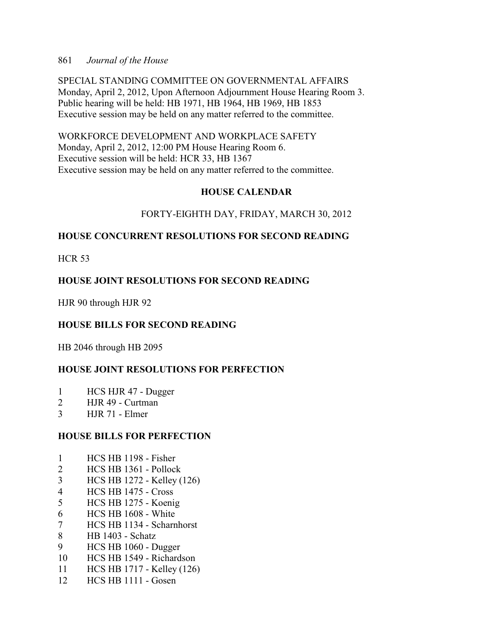SPECIAL STANDING COMMITTEE ON GOVERNMENTAL AFFAIRS Monday, April 2, 2012, Upon Afternoon Adjournment House Hearing Room 3. Public hearing will be held: HB 1971, HB 1964, HB 1969, HB 1853 Executive session may be held on any matter referred to the committee.

WORKFORCE DEVELOPMENT AND WORKPLACE SAFETY Monday, April 2, 2012, 12:00 PM House Hearing Room 6. Executive session will be held: HCR 33, HB 1367 Executive session may be held on any matter referred to the committee.

# **HOUSE CALENDAR**

# FORTY-EIGHTH DAY, FRIDAY, MARCH 30, 2012

# **HOUSE CONCURRENT RESOLUTIONS FOR SECOND READING**

HCR 53

# **HOUSE JOINT RESOLUTIONS FOR SECOND READING**

HJR 90 through HJR 92

# **HOUSE BILLS FOR SECOND READING**

HB 2046 through HB 2095

# **HOUSE JOINT RESOLUTIONS FOR PERFECTION**

- 1 HCS HJR 47 Dugger
- 2 HJR 49 Curtman
- 3 HJR 71 Elmer

# **HOUSE BILLS FOR PERFECTION**

- 1 HCS HB 1198 Fisher
- 2 HCS HB 1361 Pollock
- 3 HCS HB 1272 Kelley (126)
- 4 HCS HB 1475 Cross
- 5 HCS HB 1275 Koenig
- 6 HCS HB 1608 White
- 7 HCS HB 1134 Scharnhorst
- 8 HB 1403 Schatz
- 9 HCS HB 1060 Dugger
- 10 HCS HB 1549 Richardson
- 11 HCS HB 1717 Kelley (126)
- 12 HCS HB 1111 Gosen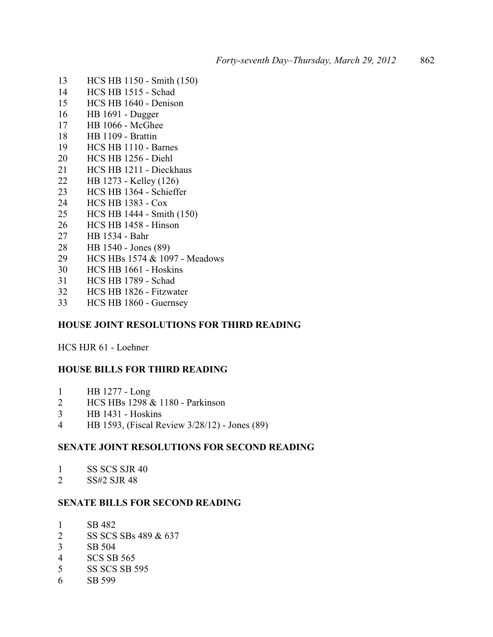- HCS HB 1150 Smith (150)
- HCS HB 1515 Schad
- HCS HB 1640 Denison
- HB 1691 Dugger
- HB 1066 McGhee
- HB 1109 Brattin
- HCS HB 1110 Barnes
- HCS HB 1256 Diehl
- HCS HB 1211 Dieckhaus
- HB 1273 Kelley (126)
- HCS HB 1364 Schieffer
- HCS HB 1383 Cox
- HCS HB 1444 Smith (150)
- HCS HB 1458 Hinson
- HB 1534 Bahr
- HB 1540 Jones (89)
- HCS HBs 1574 & 1097 Meadows
- HCS HB 1661 Hoskins
- HCS HB 1789 Schad
- HCS HB 1826 Fitzwater
- HCS HB 1860 Guernsey

### **HOUSE JOINT RESOLUTIONS FOR THIRD READING**

HCS HJR 61 - Loehner

#### **HOUSE BILLS FOR THIRD READING**

- HB 1277 Long
- HCS HBs 1298 & 1180 Parkinson
- HB 1431 Hoskins
- HB 1593, (Fiscal Review 3/28/12) Jones (89)

### **SENATE JOINT RESOLUTIONS FOR SECOND READING**

- 1 SS SCS SJR 40<br>2 SS#2 SJR 48
- SS#2 SJR 48

#### **SENATE BILLS FOR SECOND READING**

- SB 482
- 2 SS SCS SBs 489 & 637
- SB 504
- SCS SB 565
- SS SCS SB 595
- SB 599